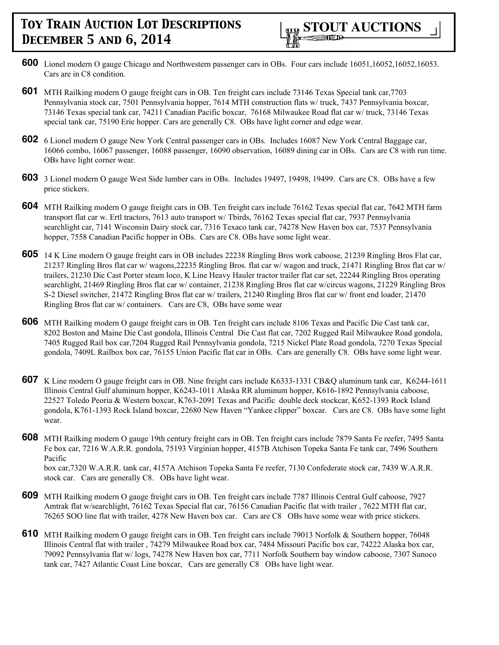- **600** Lionel modern O gauge Chicago and Northwestern passenger cars in OBs. Four cars include 16051,16052,16052,16053. Cars are in C8 condition.
- **601** MTH Railking modern O gauge freight cars in OB. Ten freight cars include 73146 Texas Special tank car,7703 Pennsylvania stock car, 7501 Pennsylvania hopper, 7614 MTH construction flats w/ truck, 7437 Pennsylvania boxcar, 73146 Texas special tank car, 74211 Canadian Pacific boxcar, 76168 Milwaukee Road flat car w/ truck, 73146 Texas special tank car, 75190 Erie hopper. Cars are generally C8. OBs have light corner and edge wear.
- **602** 6 Lionel modern O gauge New York Central passenger cars in OBs. Includes 16087 New York Central Baggage car, 16066 combo, 16067 passenger, 16088 passenger, 16090 observation, 16089 dining car in OBs. Cars are C8 with run time. OBs have light corner wear.
- **603** 3 Lionel modern O gauge West Side lumber cars in OBs. Includes 19497, 19498, 19499. Cars are C8. OBs have a few price stickers.
- **604** MTH Railking modern O gauge freight cars in OB. Ten freight cars include 76162 Texas special flat car, 7642 MTH farm transport flat car w. Ertl tractors, 7613 auto transport w/ Tbirds, 76162 Texas special flat car, 7937 Pennsylvania searchlight car, 7141 Wisconsin Dairy stock car, 7316 Texaco tank car, 74278 New Haven box car, 7537 Pennsylvania hopper, 7558 Canadian Pacific hopper in OBs. Cars are C8. OBs have some light wear.
- **605** 14 K Line modern O gauge freight cars in OB includes 22238 Ringling Bros work caboose, 21239 Ringling Bros Flat car, 21237 Ringling Bros flat car w/ wagons,22235 Ringling Bros. flat car w/ wagon and truck, 21471 Ringling Bros flat car w/ trailers, 21230 Die Cast Porter steam loco, K Line Heavy Hauler tractor trailer flat car set, 22244 Ringling Bros operating searchlight, 21469 Ringling Bros flat car w/ container, 21238 Ringling Bros flat car w/circus wagons, 21229 Ringling Bros S-2 Diesel switcher, 21472 Ringling Bros flat car w/ trailers, 21240 Ringling Bros flat car w/ front end loader, 21470 Ringling Bros flat car w/ containers. Cars are C8, OBs have some wear
- **606** MTH Railking modern O gauge freight cars in OB. Ten freight cars include 8106 Texas and Pacific Die Cast tank car, 8202 Boston and Maine Die Cast gondola, Illinois Central Die Cast flat car, 7202 Rugged Rail Milwaukee Road gondola, 7405 Rugged Rail box car,7204 Rugged Rail Pennsylvania gondola, 7215 Nickel Plate Road gondola, 7270 Texas Special gondola, 7409L Railbox box car, 76155 Union Pacific flat car in OBs. Cars are generally C8. OBs have some light wear.
- **607** K Line modern O gauge freight cars in OB. Nine freight cars include K6333-1331 CB&Q aluminum tank car, K6244-1611 Illinois Central Gulf aluminum hopper, K6243-1011 Alaska RR aluminum hopper, K616-1892 Pennsylvania caboose, 22527 Toledo Peoria & Western boxcar, K763-2091 Texas and Pacific double deck stockcar, K652-1393 Rock Island gondola, K761-1393 Rock Island boxcar, 22680 New Haven "Yankee clipper" boxcar. Cars are C8. OBs have some light wear.
- **608** MTH Railking modern O gauge 19th century freight cars in OB. Ten freight cars include 7879 Santa Fe reefer, 7495 Santa Fe box car, 7216 W.A.R.R. gondola, 75193 Virginian hopper, 4157B Atchison Topeka Santa Fe tank car, 7496 Southern Pacific box car,7320 W.A.R.R. tank car, 4157A Atchison Topeka Santa Fe reefer, 7130 Confederate stock car, 7439 W.A.R.R. stock car. Cars are generally C8. OBs have light wear.
- **609** MTH Railking modern O gauge freight cars in OB. Ten freight cars include 7787 Illinois Central Gulf caboose, 7927 Amtrak flat w/searchlight, 76162 Texas Special flat car, 76156 Canadian Pacific flat with trailer , 7622 MTH flat car, 76265 SOO line flat with trailer, 4278 New Haven box car. Cars are C8 OBs have some wear with price stickers.
- **610** MTH Railking modern O gauge freight cars in OB. Ten freight cars include 79013 Norfolk & Southern hopper, 76048 Illinois Central flat with trailer , 74279 Milwaukee Road box car, 7484 Missouri Pacific box car, 74222 Alaska box car, 79092 Pennsylvania flat w/ logs, 74278 New Haven box car, 7711 Norfolk Southern bay window caboose, 7307 Sunoco tank car, 7427 Atlantic Coast Line boxcar, Cars are generally C8 OBs have light wear.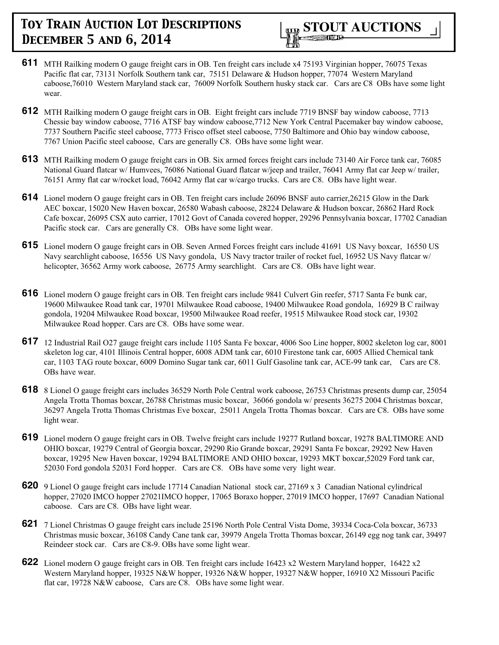

- **611** MTH Railking modern O gauge freight cars in OB. Ten freight cars include x4 75193 Virginian hopper, 76075 Texas Pacific flat car, 73131 Norfolk Southern tank car, 75151 Delaware & Hudson hopper, 77074 Western Maryland caboose,76010 Western Maryland stack car, 76009 Norfolk Southern husky stack car. Cars are C8 OBs have some light wear.
- **612** MTH Railking modern O gauge freight cars in OB. Eight freight cars include 7719 BNSF bay window caboose, 7713 Chessie bay window caboose, 7716 ATSF bay window caboose,7712 New York Central Pacemaker bay window caboose, 7737 Southern Pacific steel caboose, 7773 Frisco offset steel caboose, 7750 Baltimore and Ohio bay window caboose, 7767 Union Pacific steel caboose, Cars are generally C8. OBs have some light wear.
- **613** MTH Railking modern O gauge freight cars in OB. Six armed forces freight cars include 73140 Air Force tank car, 76085 National Guard flatcar w/ Humvees, 76086 National Guard flatcar w/jeep and trailer, 76041 Army flat car Jeep w/ trailer, 76151 Army flat car w/rocket load, 76042 Army flat car w/cargo trucks. Cars are C8. OBs have light wear.
- **614** Lionel modern O gauge freight cars in OB. Ten freight cars include 26096 BNSF auto carrier,26215 Glow in the Dark AEC boxcar, 15020 New Haven boxcar, 26580 Wabash caboose, 28224 Delaware & Hudson boxcar, 26862 Hard Rock Cafe boxcar, 26095 CSX auto carrier, 17012 Govt of Canada covered hopper, 29296 Pennsylvania boxcar, 17702 Canadian Pacific stock car. Cars are generally C8. OBs have some light wear.
- **615** Lionel modern O gauge freight cars in OB. Seven Armed Forces freight cars include 41691 US Navy boxcar, 16550 US Navy searchlight caboose, 16556 US Navy gondola, US Navy tractor trailer of rocket fuel, 16952 US Navy flatcar w/ helicopter, 36562 Army work caboose, 26775 Army searchlight. Cars are C8. OBs have light wear.
- **616** Lionel modern O gauge freight cars in OB. Ten freight cars include 9841 Culvert Gin reefer, 5717 Santa Fe bunk car, 19600 Milwaukee Road tank car, 19701 Milwaukee Road caboose, 19400 Milwaukee Road gondola, 16929 B C railway gondola, 19204 Milwaukee Road boxcar, 19500 Milwaukee Road reefer, 19515 Milwaukee Road stock car, 19302 Milwaukee Road hopper. Cars are C8. OBs have some wear.
- **617** 12 Industrial Rail O27 gauge freight cars include 1105 Santa Fe boxcar, 4006 Soo Line hopper, 8002 skeleton log car, 8001 skeleton log car, 4101 Illinois Central hopper, 6008 ADM tank car, 6010 Firestone tank car, 6005 Allied Chemical tank car, 1103 TAG route boxcar, 6009 Domino Sugar tank car, 6011 Gulf Gasoline tank car, ACE-99 tank car, Cars are C8. OBs have wear.
- **618** 8 Lionel O gauge freight cars includes 36529 North Pole Central work caboose, 26753 Christmas presents dump car, 25054 Angela Trotta Thomas boxcar, 26788 Christmas music boxcar, 36066 gondola w/ presents 36275 2004 Christmas boxcar, 36297 Angela Trotta Thomas Christmas Eve boxcar, 25011 Angela Trotta Thomas boxcar. Cars are C8. OBs have some light wear.
- **619** Lionel modern O gauge freight cars in OB. Twelve freight cars include 19277 Rutland boxcar, 19278 BALTIMORE AND OHIO boxcar, 19279 Central of Georgia boxcar, 29290 Rio Grande boxcar, 29291 Santa Fe boxcar, 29292 New Haven boxcar, 19295 New Haven boxcar, 19294 BALTIMORE AND OHIO boxcar, 19293 MKT boxcar,52029 Ford tank car, 52030 Ford gondola 52031 Ford hopper. Cars are C8. OBs have some very light wear.
- **620** 9 Lionel O gauge freight cars include 17714 Canadian National stock car, 27169 x 3 Canadian National cylindrical hopper, 27020 IMCO hopper 27021IMCO hopper, 17065 Boraxo hopper, 27019 IMCO hopper, 17697 Canadian National caboose. Cars are C8. OBs have light wear.
- **621** 7 Lionel Christmas O gauge freight cars include 25196 North Pole Central Vista Dome, 39334 Coca-Cola boxcar, 36733 Christmas music boxcar, 36108 Candy Cane tank car, 39979 Angela Trotta Thomas boxcar, 26149 egg nog tank car, 39497 Reindeer stock car. Cars are C8-9. OBs have some light wear.
- **622** Lionel modern O gauge freight cars in OB. Ten freight cars include 16423 x2 Western Maryland hopper, 16422 x2 Western Maryland hopper, 19325 N&W hopper, 19326 N&W hopper, 19327 N&W hopper, 16910 X2 Missouri Pacific flat car, 19728 N&W caboose, Cars are C8. OBs have some light wear.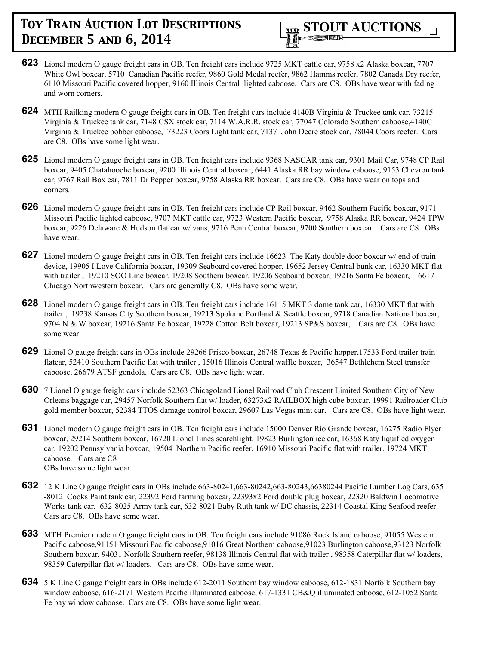

- **623** Lionel modern O gauge freight cars in OB. Ten freight cars include 9725 MKT cattle car, 9758 x2 Alaska boxcar, 7707 White Owl boxcar, 5710 Canadian Pacific reefer, 9860 Gold Medal reefer, 9862 Hamms reefer, 7802 Canada Dry reefer, 6110 Missouri Pacific covered hopper, 9160 Illinois Central lighted caboose, Cars are C8. OBs have wear with fading and worn corners.
- **624** MTH Railking modern O gauge freight cars in OB. Ten freight cars include 4140B Virginia & Truckee tank car, 73215 Virginia & Truckee tank car, 7148 CSX stock car, 7114 W.A.R.R. stock car, 77047 Colorado Southern caboose,4140C Virginia & Truckee bobber caboose, 73223 Coors Light tank car, 7137 John Deere stock car, 78044 Coors reefer. Cars are C8. OBs have some light wear.
- **625** Lionel modern O gauge freight cars in OB. Ten freight cars include 9368 NASCAR tank car, 9301 Mail Car, 9748 CP Rail boxcar, 9405 Chatahooche boxcar, 9200 Illinois Central boxcar, 6441 Alaska RR bay window caboose, 9153 Chevron tank car, 9767 Rail Box car, 7811 Dr Pepper boxcar, 9758 Alaska RR boxcar. Cars are C8. OBs have wear on tops and corners.
- **626** Lionel modern O gauge freight cars in OB. Ten freight cars include CP Rail boxcar, 9462 Southern Pacific boxcar, 9171 Missouri Pacific lighted caboose, 9707 MKT cattle car, 9723 Western Pacific boxcar, 9758 Alaska RR boxcar, 9424 TPW boxcar, 9226 Delaware & Hudson flat car w/ vans, 9716 Penn Central boxcar, 9700 Southern boxcar. Cars are C8. OBs have wear.
- **627** Lionel modern O gauge freight cars in OB. Ten freight cars include 16623 The Katy double door boxcar w/ end of train device, 19905 I Love California boxcar, 19309 Seaboard covered hopper, 19652 Jersey Central bunk car, 16330 MKT flat with trailer , 19210 SOO Line boxcar, 19208 Southern boxcar, 19206 Seaboard boxcar, 19216 Santa Fe boxcar, 16617 Chicago Northwestern boxcar, Cars are generally C8. OBs have some wear.
- **628** Lionel modern O gauge freight cars in OB. Ten freight cars include 16115 MKT 3 dome tank car, 16330 MKT flat with trailer , 19238 Kansas City Southern boxcar, 19213 Spokane Portland & Seattle boxcar, 9718 Canadian National boxcar, 9704 N & W boxcar, 19216 Santa Fe boxcar, 19228 Cotton Belt boxcar, 19213 SP&S boxcar, Cars are C8. OBs have some wear.
- **629** Lionel O gauge freight cars in OBs include 29266 Frisco boxcar, 26748 Texas & Pacific hopper,17533 Ford trailer train flatcar, 52410 Southern Pacific flat with trailer , 15016 Illinois Central waffle boxcar, 36547 Bethlehem Steel transfer caboose, 26679 ATSF gondola. Cars are C8. OBs have light wear.
- **630** 7 Lionel O gauge freight cars include 52363 Chicagoland Lionel Railroad Club Crescent Limited Southern City of New Orleans baggage car, 29457 Norfolk Southern flat w/ loader, 63273x2 RAILBOX high cube boxcar, 19991 Railroader Club gold member boxcar, 52384 TTOS damage control boxcar, 29607 Las Vegas mint car. Cars are C8. OBs have light wear.
- **631** Lionel modern O gauge freight cars in OB. Ten freight cars include 15000 Denver Rio Grande boxcar, 16275 Radio Flyer boxcar, 29214 Southern boxcar, 16720 Lionel Lines searchlight, 19823 Burlington ice car, 16368 Katy liquified oxygen car, 19202 Pennsylvania boxcar, 19504 Northern Pacific reefer, 16910 Missouri Pacific flat with trailer. 19724 MKT caboose. Cars are C8 OBs have some light wear.
- **632** 12 K Line O gauge freight cars in OBs include 663-80241,663-80242,663-80243,66380244 Pacific Lumber Log Cars, 635 -8012 Cooks Paint tank car, 22392 Ford farming boxcar, 22393x2 Ford double plug boxcar, 22320 Baldwin Locomotive Works tank car, 632-8025 Army tank car, 632-8021 Baby Ruth tank w/ DC chassis, 22314 Coastal King Seafood reefer. Cars are C8. OBs have some wear.
- **633** MTH Premier modern O gauge freight cars in OB. Ten freight cars include 91086 Rock Island caboose, 91055 Western Pacific caboose,91151 Missouri Pacific caboose,91016 Great Northern caboose,91023 Burlington caboose,93123 Norfolk Southern boxcar, 94031 Norfolk Southern reefer, 98138 Illinois Central flat with trailer , 98358 Caterpillar flat w/ loaders, 98359 Caterpillar flat w/ loaders. Cars are C8. OBs have some wear.
- **634** 5 K Line O gauge freight cars in OBs include 612-2011 Southern bay window caboose, 612-1831 Norfolk Southern bay window caboose, 616-2171 Western Pacific illuminated caboose, 617-1331 CB&Q illuminated caboose, 612-1052 Santa Fe bay window caboose. Cars are C8. OBs have some light wear.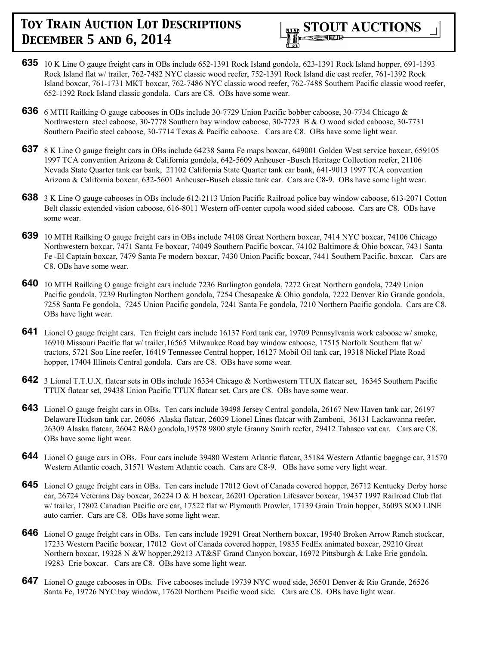

- **635** 10 K Line O gauge freight cars in OBs include 652-1391 Rock Island gondola, 623-1391 Rock Island hopper, 691-1393 Rock Island flat w/ trailer, 762-7482 NYC classic wood reefer, 752-1391 Rock Island die cast reefer, 761-1392 Rock Island boxcar, 761-1731 MKT boxcar, 762-7486 NYC classic wood reefer, 762-7488 Southern Pacific classic wood reefer, 652-1392 Rock Island classic gondola. Cars are C8. OBs have some wear.
- **636** 6 MTH Railking O gauge cabooses in OBs include 30-7729 Union Pacific bobber caboose, 30-7734 Chicago & Northwestern steel caboose, 30-7778 Southern bay window caboose, 30-7723 B & O wood sided caboose, 30-7731 Southern Pacific steel caboose, 30-7714 Texas & Pacific caboose. Cars are C8. OBs have some light wear.
- **637** 8 K Line O gauge freight cars in OBs include 64238 Santa Fe maps boxcar, 649001 Golden West service boxcar, 659105 1997 TCA convention Arizona & California gondola, 642-5609 Anheuser -Busch Heritage Collection reefer, 21106 Nevada State Quarter tank car bank, 21102 California State Quarter tank car bank, 641-9013 1997 TCA convention Arizona & California boxcar, 632-5601 Anheuser-Busch classic tank car. Cars are C8-9. OBs have some light wear.
- **638** 3 K Line O gauge cabooses in OBs include 612-2113 Union Pacific Railroad police bay window caboose, 613-2071 Cotton Belt classic extended vision caboose, 616-8011 Western off-center cupola wood sided caboose. Cars are C8. OBs have some wear.
- **639** 10 MTH Railking O gauge freight cars in OBs include 74108 Great Northern boxcar, 7414 NYC boxcar, 74106 Chicago Northwestern boxcar, 7471 Santa Fe boxcar, 74049 Southern Pacific boxcar, 74102 Baltimore & Ohio boxcar, 7431 Santa Fe -El Captain boxcar, 7479 Santa Fe modern boxcar, 7430 Union Pacific boxcar, 7441 Southern Pacific. boxcar. Cars are C8. OBs have some wear.
- **640** 10 MTH Railking O gauge freight cars include 7236 Burlington gondola, 7272 Great Northern gondola, 7249 Union Pacific gondola, 7239 Burlington Northern gondola, 7254 Chesapeake & Ohio gondola, 7222 Denver Rio Grande gondola, 7258 Santa Fe gondola, 7245 Union Pacific gondola, 7241 Santa Fe gondola, 7210 Northern Pacific gondola. Cars are C8. OBs have light wear.
- **641** Lionel O gauge freight cars. Ten freight cars include 16137 Ford tank car, 19709 Pennsylvania work caboose w/ smoke, 16910 Missouri Pacific flat w/ trailer,16565 Milwaukee Road bay window caboose, 17515 Norfolk Southern flat w/ tractors, 5721 Soo Line reefer, 16419 Tennessee Central hopper, 16127 Mobil Oil tank car, 19318 Nickel Plate Road hopper, 17404 Illinois Central gondola. Cars are C8. OBs have some wear.
- **642** 3 Lionel T.T.U.X. flatcar sets in OBs include 16334 Chicago & Northwestern TTUX flatcar set, 16345 Southern Pacific TTUX flatcar set, 29438 Union Pacific TTUX flatcar set. Cars are C8. OBs have some wear.
- **643** Lionel O gauge freight cars in OBs. Ten cars include 39498 Jersey Central gondola, 26167 New Haven tank car, 26197 Delaware Hudson tank car, 26086 Alaska flatcar, 26039 Lionel Lines flatcar with Zamboni, 36131 Lackawanna reefer, 26309 Alaska flatcar, 26042 B&O gondola,19578 9800 style Granny Smith reefer, 29412 Tabasco vat car. Cars are C8. OBs have some light wear.
- **644** Lionel O gauge cars in OBs. Four cars include 39480 Western Atlantic flatcar, 35184 Western Atlantic baggage car, 31570 Western Atlantic coach, 31571 Western Atlantic coach. Cars are C8-9. OBs have some very light wear.
- **645** Lionel O gauge freight cars in OBs. Ten cars include 17012 Govt of Canada covered hopper, 26712 Kentucky Derby horse car, 26724 Veterans Day boxcar, 26224 D & H boxcar, 26201 Operation Lifesaver boxcar, 19437 1997 Railroad Club flat w/ trailer, 17802 Canadian Pacific ore car, 17522 flat w/ Plymouth Prowler, 17139 Grain Train hopper, 36093 SOO LINE auto carrier. Cars are C8. OBs have some light wear.
- **646** Lionel O gauge freight cars in OBs. Ten cars include 19291 Great Northern boxcar, 19540 Broken Arrow Ranch stockcar, 17233 Western Pacific boxcar, 17012 Govt of Canada covered hopper, 19835 FedEx animated boxcar, 29210 Great Northern boxcar, 19328 N &W hopper,29213 AT&SF Grand Canyon boxcar, 16972 Pittsburgh & Lake Erie gondola, 19283 Erie boxcar. Cars are C8. OBs have some light wear.
- **647** Lionel O gauge cabooses in OBs. Five cabooses include 19739 NYC wood side, 36501 Denver & Rio Grande, 26526 Santa Fe, 19726 NYC bay window, 17620 Northern Pacific wood side. Cars are C8. OBs have light wear.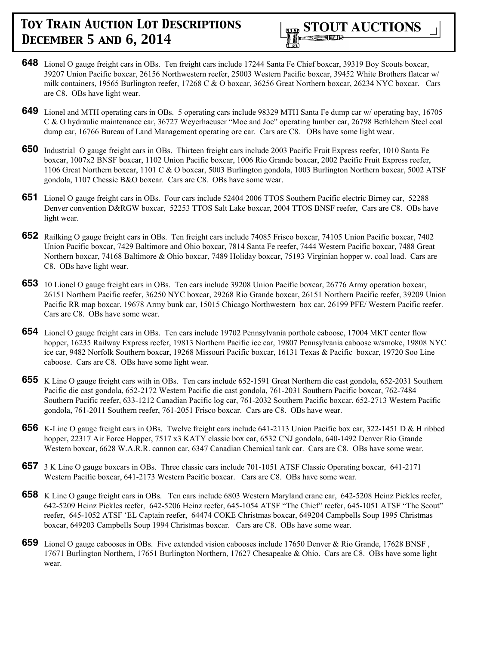- **648** Lionel O gauge freight cars in OBs. Ten freight cars include 17244 Santa Fe Chief boxcar, 39319 Boy Scouts boxcar, 39207 Union Pacific boxcar, 26156 Northwestern reefer, 25003 Western Pacific boxcar, 39452 White Brothers flatcar w/ milk containers, 19565 Burlington reefer, 17268 C & O boxcar, 36256 Great Northern boxcar, 26234 NYC boxcar. Cars are C8. OBs have light wear.
- **649** Lionel and MTH operating cars in OBs. 5 operating cars include 98329 MTH Santa Fe dump car w/ operating bay, 16705 C & O hydraulic maintenance car, 36727 Weyerhaeuser "Moe and Joe" operating lumber car, 26798 Bethlehem Steel coal dump car, 16766 Bureau of Land Management operating ore car. Cars are C8. OBs have some light wear.
- **650** Industrial O gauge freight cars in OBs. Thirteen freight cars include 2003 Pacific Fruit Express reefer, 1010 Santa Fe boxcar, 1007x2 BNSF boxcar, 1102 Union Pacific boxcar, 1006 Rio Grande boxcar, 2002 Pacific Fruit Express reefer, 1106 Great Northern boxcar, 1101 C & O boxcar, 5003 Burlington gondola, 1003 Burlington Northern boxcar, 5002 ATSF gondola, 1107 Chessie B&O boxcar. Cars are C8. OBs have some wear.
- **651** Lionel O gauge freight cars in OBs. Four cars include 52404 2006 TTOS Southern Pacific electric Birney car, 52288 Denver convention D&RGW boxcar, 52253 TTOS Salt Lake boxcar, 2004 TTOS BNSF reefer, Cars are C8. OBs have light wear.
- **652** Railking O gauge freight cars in OBs. Ten freight cars include 74085 Frisco boxcar, 74105 Union Pacific boxcar, 7402 Union Pacific boxcar, 7429 Baltimore and Ohio boxcar, 7814 Santa Fe reefer, 7444 Western Pacific boxcar, 7488 Great Northern boxcar, 74168 Baltimore & Ohio boxcar, 7489 Holiday boxcar, 75193 Virginian hopper w. coal load. Cars are C8. OBs have light wear.
- **653** 10 Lionel O gauge freight cars in OBs. Ten cars include 39208 Union Pacific boxcar, 26776 Army operation boxcar, 26151 Northern Pacific reefer, 36250 NYC boxcar, 29268 Rio Grande boxcar, 26151 Northern Pacific reefer, 39209 Union Pacific RR map boxcar, 19678 Army bunk car, 15015 Chicago Northwestern box car, 26199 PFE/ Western Pacific reefer. Cars are C8. OBs have some wear.
- **654** Lionel O gauge freight cars in OBs. Ten cars include 19702 Pennsylvania porthole caboose, 17004 MKT center flow hopper, 16235 Railway Express reefer, 19813 Northern Pacific ice car, 19807 Pennsylvania caboose w/smoke, 19808 NYC ice car, 9482 Norfolk Southern boxcar, 19268 Missouri Pacific boxcar, 16131 Texas & Pacific boxcar, 19720 Soo Line caboose. Cars are C8. OBs have some light wear.
- **655** K Line O gauge freight cars with in OBs. Ten cars include 652-1591 Great Northern die cast gondola, 652-2031 Southern Pacific die cast gondola, 652-2172 Western Pacific die cast gondola, 761-2031 Southern Pacific boxcar, 762-7484 Southern Pacific reefer, 633-1212 Canadian Pacific log car, 761-2032 Southern Pacific boxcar, 652-2713 Western Pacific gondola, 761-2011 Southern reefer, 761-2051 Frisco boxcar. Cars are C8. OBs have wear.
- **656** K-Line O gauge freight cars in OBs. Twelve freight cars include 641-2113 Union Pacific box car, 322-1451 D & H ribbed hopper, 22317 Air Force Hopper, 7517 x3 KATY classic box car, 6532 CNJ gondola, 640-1492 Denver Rio Grande Western boxcar, 6628 W.A.R.R. cannon car, 6347 Canadian Chemical tank car. Cars are C8. OBs have some wear.
- **657** 3 K Line O gauge boxcars in OBs. Three classic cars include 701-1051 ATSF Classic Operating boxcar, 641-2171 Western Pacific boxcar, 641-2173 Western Pacific boxcar. Cars are C8. OBs have some wear.
- **658** K Line O gauge freight cars in OBs. Ten cars include 6803 Western Maryland crane car, 642-5208 Heinz Pickles reefer, 642-5209 Heinz Pickles reefer, 642-5206 Heinz reefer, 645-1054 ATSF "The Chief" reefer, 645-1051 ATSF "The Scout" reefer, 645-1052 ATSF 'EL Captain reefer, 64474 COKE Christmas boxcar, 649204 Campbells Soup 1995 Christmas boxcar, 649203 Campbells Soup 1994 Christmas boxcar. Cars are C8. OBs have some wear.
- **659** Lionel O gauge cabooses in OBs. Five extended vision cabooses include 17650 Denver & Rio Grande, 17628 BNSF , 17671 Burlington Northern, 17651 Burlington Northern, 17627 Chesapeake & Ohio. Cars are C8. OBs have some light wear.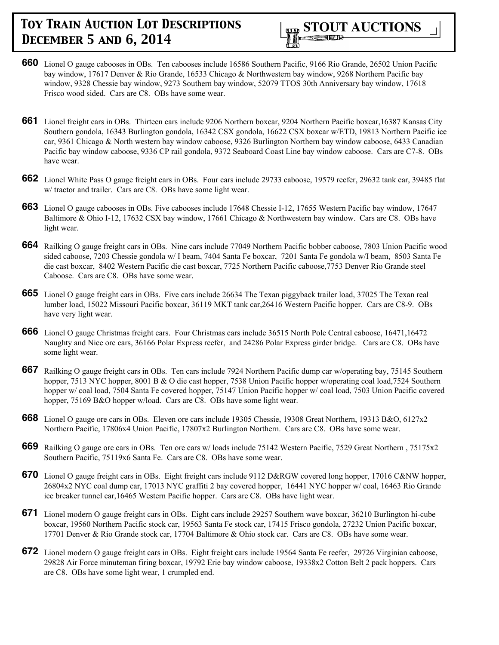

- **660** Lionel O gauge cabooses in OBs. Ten cabooses include 16586 Southern Pacific, 9166 Rio Grande, 26502 Union Pacific bay window, 17617 Denver & Rio Grande, 16533 Chicago & Northwestern bay window, 9268 Northern Pacific bay window, 9328 Chessie bay window, 9273 Southern bay window, 52079 TTOS 30th Anniversary bay window, 17618 Frisco wood sided. Cars are C8. OBs have some wear.
- **661** Lionel freight cars in OBs. Thirteen cars include 9206 Northern boxcar, 9204 Northern Pacific boxcar,16387 Kansas City Southern gondola, 16343 Burlington gondola, 16342 CSX gondola, 16622 CSX boxcar w/ETD, 19813 Northern Pacific ice car, 9361 Chicago & North western bay window caboose, 9326 Burlington Northern bay window caboose, 6433 Canadian Pacific bay window caboose, 9336 CP rail gondola, 9372 Seaboard Coast Line bay window caboose. Cars are C7-8. OBs have wear.
- **662** Lionel White Pass O gauge freight cars in OBs. Four cars include 29733 caboose, 19579 reefer, 29632 tank car, 39485 flat w/ tractor and trailer. Cars are C8. OBs have some light wear.
- **663** Lionel O gauge cabooses in OBs. Five cabooses include 17648 Chessie I-12, 17655 Western Pacific bay window, 17647 Baltimore & Ohio I-12, 17632 CSX bay window, 17661 Chicago & Northwestern bay window. Cars are C8. OBs have light wear.
- **664** Railking O gauge freight cars in OBs. Nine cars include 77049 Northern Pacific bobber caboose, 7803 Union Pacific wood sided caboose, 7203 Chessie gondola w/ I beam, 7404 Santa Fe boxcar, 7201 Santa Fe gondola w/I beam, 8503 Santa Fe die cast boxcar, 8402 Western Pacific die cast boxcar, 7725 Northern Pacific caboose,7753 Denver Rio Grande steel Caboose. Cars are C8. OBs have some wear.
- **665** Lionel O gauge freight cars in OBs. Five cars include 26634 The Texan piggyback trailer load, 37025 The Texan real lumber load, 15022 Missouri Pacific boxcar, 36119 MKT tank car,26416 Western Pacific hopper. Cars are C8-9. OBs have very light wear.
- **666** Lionel O gauge Christmas freight cars. Four Christmas cars include 36515 North Pole Central caboose, 16471,16472 Naughty and Nice ore cars, 36166 Polar Express reefer, and 24286 Polar Express girder bridge. Cars are C8. OBs have some light wear.
- **667** Railking O gauge freight cars in OBs. Ten cars include 7924 Northern Pacific dump car w/operating bay, 75145 Southern hopper, 7513 NYC hopper, 8001 B & O die cast hopper, 7538 Union Pacific hopper w/operating coal load,7524 Southern hopper w/ coal load, 7504 Santa Fe covered hopper, 75147 Union Pacific hopper w/ coal load, 7503 Union Pacific covered hopper, 75169 B&O hopper w/load. Cars are C8. OBs have some light wear.
- **668** Lionel O gauge ore cars in OBs. Eleven ore cars include 19305 Chessie, 19308 Great Northern, 19313 B&O, 6127x2 Northern Pacific, 17806x4 Union Pacific, 17807x2 Burlington Northern. Cars are C8. OBs have some wear.
- **669** Railking O gauge ore cars in OBs. Ten ore cars w/ loads include 75142 Western Pacific, 7529 Great Northern , 75175x2 Southern Pacific, 75119x6 Santa Fe. Cars are C8. OBs have some wear.
- **670** Lionel O gauge freight cars in OBs. Eight freight cars include 9112 D&RGW covered long hopper, 17016 C&NW hopper, 26804x2 NYC coal dump car, 17013 NYC graffiti 2 bay covered hopper, 16441 NYC hopper w/ coal, 16463 Rio Grande ice breaker tunnel car,16465 Western Pacific hopper. Cars are C8. OBs have light wear.
- **671** Lionel modern O gauge freight cars in OBs. Eight cars include 29257 Southern wave boxcar, 36210 Burlington hi-cube boxcar, 19560 Northern Pacific stock car, 19563 Santa Fe stock car, 17415 Frisco gondola, 27232 Union Pacific boxcar, 17701 Denver & Rio Grande stock car, 17704 Baltimore & Ohio stock car. Cars are C8. OBs have some wear.
- **672** Lionel modern O gauge freight cars in OBs. Eight freight cars include 19564 Santa Fe reefer, 29726 Virginian caboose, 29828 Air Force minuteman firing boxcar, 19792 Erie bay window caboose, 19338x2 Cotton Belt 2 pack hoppers. Cars are C8. OBs have some light wear, 1 crumpled end.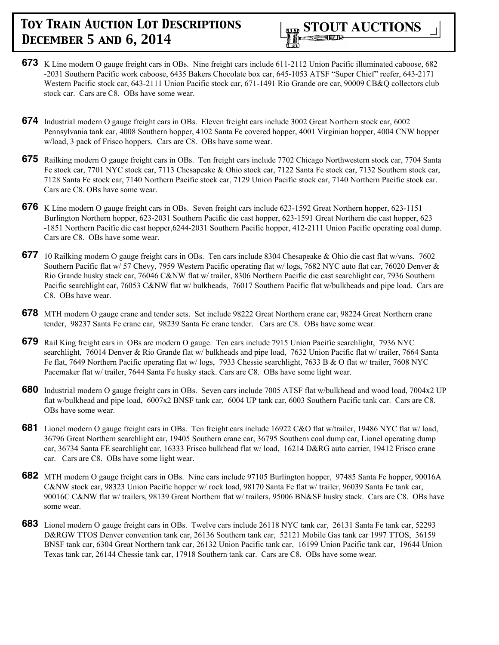

- **673** K Line modern O gauge freight cars in OBs. Nine freight cars include 611-2112 Union Pacific illuminated caboose, 682 -2031 Southern Pacific work caboose, 6435 Bakers Chocolate box car, 645-1053 ATSF "Super Chief" reefer, 643-2171 Western Pacific stock car, 643-2111 Union Pacific stock car, 671-1491 Rio Grande ore car, 90009 CB&Q collectors club stock car. Cars are C8. OBs have some wear.
- **674** Industrial modern O gauge freight cars in OBs. Eleven freight cars include 3002 Great Northern stock car, 6002 Pennsylvania tank car, 4008 Southern hopper, 4102 Santa Fe covered hopper, 4001 Virginian hopper, 4004 CNW hopper w/load, 3 pack of Frisco hoppers. Cars are C8. OBs have some wear.
- **675** Railking modern O gauge freight cars in OBs. Ten freight cars include 7702 Chicago Northwestern stock car, 7704 Santa Fe stock car, 7701 NYC stock car, 7113 Chesapeake & Ohio stock car, 7122 Santa Fe stock car, 7132 Southern stock car, 7128 Santa Fe stock car, 7140 Northern Pacific stock car, 7129 Union Pacific stock car, 7140 Northern Pacific stock car. Cars are C8. OBs have some wear.
- **676** K Line modern O gauge freight cars in OBs. Seven freight cars include 623-1592 Great Northern hopper, 623-1151 Burlington Northern hopper, 623-2031 Southern Pacific die cast hopper, 623-1591 Great Northern die cast hopper, 623 -1851 Northern Pacific die cast hopper,6244-2031 Southern Pacific hopper, 412-2111 Union Pacific operating coal dump. Cars are C8. OBs have some wear.
- **677** 10 Railking modern O gauge freight cars in OBs. Ten cars include 8304 Chesapeake & Ohio die cast flat w/vans. 7602 Southern Pacific flat w/ 57 Chevy, 7959 Western Pacific operating flat w/ logs, 7682 NYC auto flat car, 76020 Denver & Rio Grande husky stack car, 76046 C&NW flat w/ trailer, 8306 Northern Pacific die cast searchlight car, 7936 Southern Pacific searchlight car, 76053 C&NW flat w/ bulkheads, 76017 Southern Pacific flat w/bulkheads and pipe load. Cars are C8. OBs have wear.
- **678** MTH modern O gauge crane and tender sets. Set include 98222 Great Northern crane car, 98224 Great Northern crane tender, 98237 Santa Fe crane car, 98239 Santa Fe crane tender. Cars are C8. OBs have some wear.
- **679** Rail King freight cars in OBs are modern O gauge. Ten cars include 7915 Union Pacific searchlight, 7936 NYC searchlight, 76014 Denver & Rio Grande flat w/ bulkheads and pipe load, 7632 Union Pacific flat w/ trailer, 7664 Santa Fe flat, 7649 Northern Pacific operating flat w/ logs, 7933 Chessie searchlight, 7633 B & O flat w/ trailer, 7608 NYC Pacemaker flat w/ trailer, 7644 Santa Fe husky stack. Cars are C8. OBs have some light wear.
- **680** Industrial modern O gauge freight cars in OBs. Seven cars include 7005 ATSF flat w/bulkhead and wood load, 7004x2 UP flat w/bulkhead and pipe load, 6007x2 BNSF tank car, 6004 UP tank car, 6003 Southern Pacific tank car. Cars are C8. OBs have some wear.
- **681** Lionel modern O gauge freight cars in OBs. Ten freight cars include 16922 C&O flat w/trailer, 19486 NYC flat w/ load, 36796 Great Northern searchlight car, 19405 Southern crane car, 36795 Southern coal dump car, Lionel operating dump car, 36734 Santa FE searchlight car, 16333 Frisco bulkhead flat w/ load, 16214 D&RG auto carrier, 19412 Frisco crane car. Cars are C8. OBs have some light wear.
- **682** MTH modern O gauge freight cars in OBs. Nine cars include 97105 Burlington hopper, 97485 Santa Fe hopper, 90016A C&NW stock car, 98323 Union Pacific hopper w/ rock load, 98170 Santa Fe flat w/ trailer, 96039 Santa Fe tank car, 90016C C&NW flat w/ trailers, 98139 Great Northern flat w/ trailers, 95006 BN&SF husky stack. Cars are C8. OBs have some wear.
- **683** Lionel modern O gauge freight cars in OBs. Twelve cars include 26118 NYC tank car, 26131 Santa Fe tank car, 52293 D&RGW TTOS Denver convention tank car, 26136 Southern tank car, 52121 Mobile Gas tank car 1997 TTOS, 36159 BNSF tank car, 6304 Great Northern tank car, 26132 Union Pacific tank car, 16199 Union Pacific tank car, 19644 Union Texas tank car, 26144 Chessie tank car, 17918 Southern tank car. Cars are C8. OBs have some wear.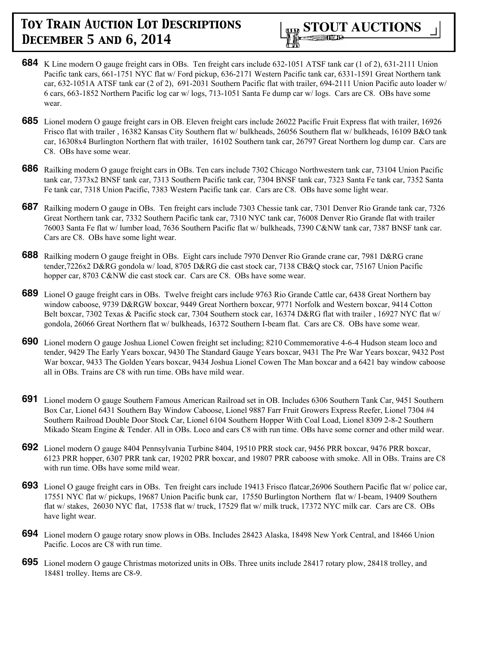

- **684** K Line modern O gauge freight cars in OBs. Ten freight cars include 632-1051 ATSF tank car (1 of 2), 631-2111 Union Pacific tank cars, 661-1751 NYC flat w/ Ford pickup, 636-2171 Western Pacific tank car, 6331-1591 Great Northern tank car, 632-1051A ATSF tank car (2 of 2), 691-2031 Southern Pacific flat with trailer, 694-2111 Union Pacific auto loader w/ 6 cars, 663-1852 Northern Pacific log car w/ logs, 713-1051 Santa Fe dump car w/ logs. Cars are C8. OBs have some wear.
- **685** Lionel modern O gauge freight cars in OB. Eleven freight cars include 26022 Pacific Fruit Express flat with trailer, 16926 Frisco flat with trailer , 16382 Kansas City Southern flat w/ bulkheads, 26056 Southern flat w/ bulkheads, 16109 B&O tank car, 16308x4 Burlington Northern flat with trailer, 16102 Southern tank car, 26797 Great Northern log dump car. Cars are C8. OBs have some wear.
- **686** Railking modern O gauge freight cars in OBs. Ten cars include 7302 Chicago Northwestern tank car, 73104 Union Pacific tank car, 7373x2 BNSF tank car, 7313 Southern Pacific tank car, 7304 BNSF tank car, 7323 Santa Fe tank car, 7352 Santa Fe tank car, 7318 Union Pacific, 7383 Western Pacific tank car. Cars are C8. OBs have some light wear.
- **687** Railking modern O gauge in OBs. Ten freight cars include 7303 Chessie tank car, 7301 Denver Rio Grande tank car, 7326 Great Northern tank car, 7332 Southern Pacific tank car, 7310 NYC tank car, 76008 Denver Rio Grande flat with trailer 76003 Santa Fe flat w/ lumber load, 7636 Southern Pacific flat w/ bulkheads, 7390 C&NW tank car, 7387 BNSF tank car. Cars are C8. OBs have some light wear.
- **688** Railking modern O gauge freight in OBs. Eight cars include 7970 Denver Rio Grande crane car, 7981 D&RG crane tender,7226x2 D&RG gondola w/ load, 8705 D&RG die cast stock car, 7138 CB&Q stock car, 75167 Union Pacific hopper car, 8703 C&NW die cast stock car. Cars are C8. OBs have some wear.
- **689** Lionel O gauge freight cars in OBs. Twelve freight cars include 9763 Rio Grande Cattle car, 6438 Great Northern bay window caboose, 9739 D&RGW boxcar, 9449 Great Northern boxcar, 9771 Norfolk and Western boxcar, 9414 Cotton Belt boxcar, 7302 Texas & Pacific stock car, 7304 Southern stock car, 16374 D&RG flat with trailer , 16927 NYC flat w/ gondola, 26066 Great Northern flat w/ bulkheads, 16372 Southern I-beam flat. Cars are C8. OBs have some wear.
- **690** Lionel modern O gauge Joshua Lionel Cowen freight set including; 8210 Commemorative 4-6-4 Hudson steam loco and tender, 9429 The Early Years boxcar, 9430 The Standard Gauge Years boxcar, 9431 The Pre War Years boxcar, 9432 Post War boxcar, 9433 The Golden Years boxcar, 9434 Joshua Lionel Cowen The Man boxcar and a 6421 bay window caboose all in OBs. Trains are C8 with run time. OBs have mild wear.
- **691** Lionel modern O gauge Southern Famous American Railroad set in OB. Includes 6306 Southern Tank Car, 9451 Southern Box Car, Lionel 6431 Southern Bay Window Caboose, Lionel 9887 Farr Fruit Growers Express Reefer, Lionel 7304 #4 Southern Railroad Double Door Stock Car, Lionel 6104 Southern Hopper With Coal Load, Lionel 8309 2-8-2 Southern Mikado Steam Engine & Tender. All in OBs. Loco and cars C8 with run time. OBs have some corner and other mild wear.
- **692** Lionel modern O gauge 8404 Pennsylvania Turbine 8404, 19510 PRR stock car, 9456 PRR boxcar, 9476 PRR boxcar, 6123 PRR hopper, 6307 PRR tank car, 19202 PRR boxcar, and 19807 PRR caboose with smoke. All in OBs. Trains are C8 with run time. OBs have some mild wear.
- **693** Lionel O gauge freight cars in OBs. Ten freight cars include 19413 Frisco flatcar,26906 Southern Pacific flat w/ police car, 17551 NYC flat w/ pickups, 19687 Union Pacific bunk car, 17550 Burlington Northern flat w/ I-beam, 19409 Southern flat w/ stakes, 26030 NYC flat, 17538 flat w/ truck, 17529 flat w/ milk truck, 17372 NYC milk car. Cars are C8. OBs have light wear.
- **694** Lionel modern O gauge rotary snow plows in OBs. Includes 28423 Alaska, 18498 New York Central, and 18466 Union Pacific. Locos are C8 with run time.
- **695** Lionel modern O gauge Christmas motorized units in OBs. Three units include 28417 rotary plow, 28418 trolley, and 18481 trolley. Items are C8-9.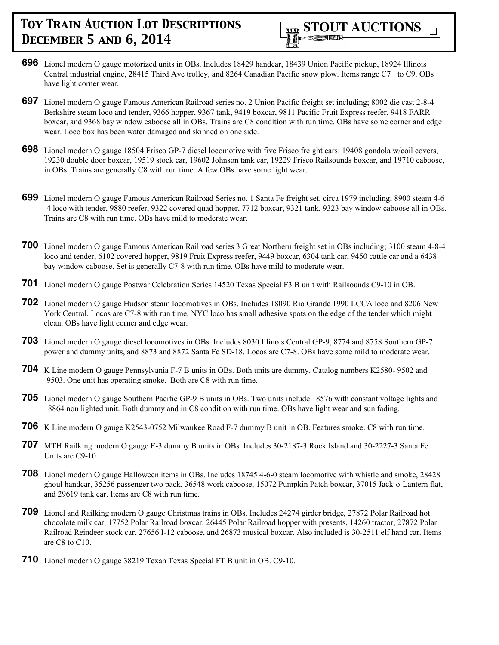

- **696** Lionel modern O gauge motorized units in OBs. Includes 18429 handcar, 18439 Union Pacific pickup, 18924 Illinois Central industrial engine, 28415 Third Ave trolley, and 8264 Canadian Pacific snow plow. Items range C7+ to C9. OBs have light corner wear.
- **697** Lionel modern O gauge Famous American Railroad series no. 2 Union Pacific freight set including; 8002 die cast 2-8-4 Berkshire steam loco and tender, 9366 hopper, 9367 tank, 9419 boxcar, 9811 Pacific Fruit Express reefer, 9418 FARR boxcar, and 9368 bay window caboose all in OBs. Trains are C8 condition with run time. OBs have some corner and edge wear. Loco box has been water damaged and skinned on one side.
- **698** Lionel modern O gauge 18504 Frisco GP-7 diesel locomotive with five Frisco freight cars: 19408 gondola w/coil covers, 19230 double door boxcar, 19519 stock car, 19602 Johnson tank car, 19229 Frisco Railsounds boxcar, and 19710 caboose, in OBs. Trains are generally C8 with run time. A few OBs have some light wear.
- **699** Lionel modern O gauge Famous American Railroad Series no. 1 Santa Fe freight set, circa 1979 including; 8900 steam 4-6 -4 loco with tender, 9880 reefer, 9322 covered quad hopper, 7712 boxcar, 9321 tank, 9323 bay window caboose all in OBs. Trains are C8 with run time. OBs have mild to moderate wear.
- **700** Lionel modern O gauge Famous American Railroad series 3 Great Northern freight set in OBs including; 3100 steam 4-8-4 loco and tender, 6102 covered hopper, 9819 Fruit Express reefer, 9449 boxcar, 6304 tank car, 9450 cattle car and a 6438 bay window caboose. Set is generally C7-8 with run time. OBs have mild to moderate wear.
- **701** Lionel modern O gauge Postwar Celebration Series 14520 Texas Special F3 B unit with Railsounds C9-10 in OB.
- **702** Lionel modern O gauge Hudson steam locomotives in OBs. Includes 18090 Rio Grande 1990 LCCA loco and 8206 New York Central. Locos are C7-8 with run time, NYC loco has small adhesive spots on the edge of the tender which might clean. OBs have light corner and edge wear.
- **703** Lionel modern O gauge diesel locomotives in OBs. Includes 8030 Illinois Central GP-9, 8774 and 8758 Southern GP-7 power and dummy units, and 8873 and 8872 Santa Fe SD-18. Locos are C7-8. OBs have some mild to moderate wear.
- **704** K Line modern O gauge Pennsylvania F-7 B units in OBs. Both units are dummy. Catalog numbers K2580- 9502 and -9503. One unit has operating smoke. Both are C8 with run time.
- **705** Lionel modern O gauge Southern Pacific GP-9 B units in OBs. Two units include 18576 with constant voltage lights and 18864 non lighted unit. Both dummy and in C8 condition with run time. OBs have light wear and sun fading.
- **706** K Line modern O gauge K2543-0752 Milwaukee Road F-7 dummy B unit in OB. Features smoke. C8 with run time.
- **707** MTH Railking modern O gauge E-3 dummy B units in OBs. Includes 30-2187-3 Rock Island and 30-2227-3 Santa Fe. Units are C9-10.
- **708** Lionel modern O gauge Halloween items in OBs. Includes 18745 4-6-0 steam locomotive with whistle and smoke, 28428 ghoul handcar, 35256 passenger two pack, 36548 work caboose, 15072 Pumpkin Patch boxcar, 37015 Jack-o-Lantern flat, and 29619 tank car. Items are C8 with run time.
- **709** Lionel and Railking modern O gauge Christmas trains in OBs. Includes 24274 girder bridge, 27872 Polar Railroad hot chocolate milk car, 17752 Polar Railroad boxcar, 26445 Polar Railroad hopper with presents, 14260 tractor, 27872 Polar Railroad Reindeer stock car, 27656 I-12 caboose, and 26873 musical boxcar. Also included is 30-2511 elf hand car. Items are C8 to C10.
- **710** Lionel modern O gauge 38219 Texan Texas Special FT B unit in OB. C9-10.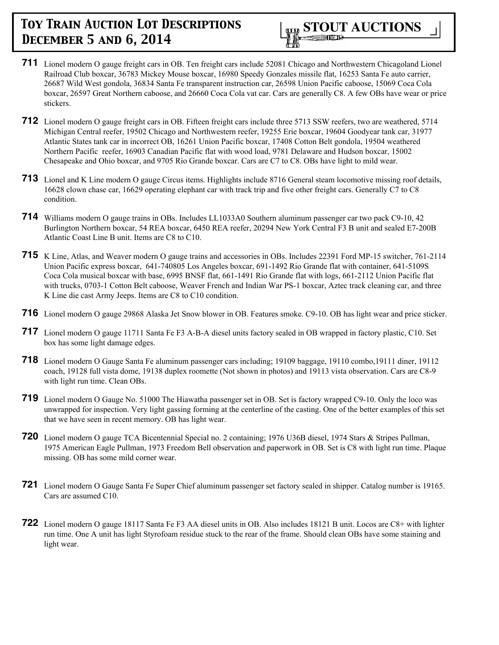

- **711** Lionel modern O gauge freight cars in OB. Ten freight cars include 52081 Chicago and Northwestern Chicagoland Lionel Railroad Club boxcar, 36783 Mickey Mouse boxcar, 16980 Speedy Gonzales missile flat, 16253 Santa Fe auto carrier, 26687 Wild West gondola, 36834 Santa Fe transparent instruction car, 26598 Union Pacific caboose, 15069 Coca Cola boxcar, 26597 Great Northern caboose, and 26660 Coca Cola vat car. Cars are generally C8. A few OBs have wear or price stickers.
- **712** Lionel modern O gauge freight cars in OB. Fifteen freight cars include three 5713 SSW reefers, two are weathered, 5714 Michigan Central reefer, 19502 Chicago and Northwestern reefer, 19255 Erie boxcar, 19604 Goodyear tank car, 31977 Atlantic States tank car in incorrect OB, 16261 Union Pacific boxcar, 17408 Cotton Belt gondola, 19504 weathered Northern Pacific reefer, 16903 Canadian Pacific flat with wood load, 9781 Delaware and Hudson boxcar, 15002 Chesapeake and Ohio boxcar, and 9705 Rio Grande boxcar. Cars are C7 to C8. OBs have light to mild wear.
- **713** Lionel and K Line modern O gauge Circus items. Highlights include 8716 General steam locomotive missing roof details, 16628 clown chase car, 16629 operating elephant car with track trip and five other freight cars. Generally C7 to C8 condition.
- **714** Williams modern O gauge trains in OBs. Includes LL1033A0 Southern aluminum passenger car two pack C9-10, 42 Burlington Northern boxcar, 54 REA boxcar, 6450 REA reefer, 20294 New York Central F3 B unit and sealed E7-200B Atlantic Coast Line B unit. Items are C8 to C10.
- **715** K Line, Atlas, and Weaver modern O gauge trains and accessories in OBs. Includes 22391 Ford MP-15 switcher, 761-2114 Union Pacific express boxcar, 641-740805 Los Angeles boxcar, 691-1492 Rio Grande flat with container, 641-5109S Coca Cola musical boxcar with base, 6995 BNSF flat, 661-1491 Rio Grande flat with logs, 661-2112 Union Pacific flat with trucks, 0703-1 Cotton Belt caboose, Weaver French and Indian War PS-1 boxcar, Aztec track cleaning car, and three K Line die cast Army Jeeps. Items are C8 to C10 condition.
- **716** Lionel modern O gauge 29868 Alaska Jet Snow blower in OB. Features smoke. C9-10. OB has light wear and price sticker.
- **717** Lionel modern O gauge 11711 Santa Fe F3 A-B-A diesel units factory sealed in OB wrapped in factory plastic, C10. Set box has some light damage edges.
- **718** Lionel modern O Gauge Santa Fe aluminum passenger cars including; 19109 baggage, 19110 combo,19111 diner, 19112 coach, 19128 full vista dome, 19138 duplex roomette (Not shown in photos) and 19113 vista observation. Cars are C8-9 with light run time. Clean OBs.
- **719** Lionel modern O Gauge No. 51000 The Hiawatha passenger set in OB. Set is factory wrapped C9-10. Only the loco was unwrapped for inspection. Very light gassing forming at the centerline of the casting. One of the better examples of this set that we have seen in recent memory. OB has light wear.
- **720** Lionel modern O gauge TCA Bicentennial Special no. 2 containing; 1976 U36B diesel, 1974 Stars & Stripes Pullman, 1975 American Eagle Pullman, 1973 Freedom Bell observation and paperwork in OB. Set is C8 with light run time. Plaque missing. OB has some mild corner wear.
- **721** Lionel modern O Gauge Santa Fe Super Chief aluminum passenger set factory sealed in shipper. Catalog number is 19165. Cars are assumed C10.
- **722** Lionel modern O gauge 18117 Santa Fe F3 AA diesel units in OB. Also includes 18121 B unit. Locos are C8+ with lighter run time. One A unit has light Styrofoam residue stuck to the rear of the frame. Should clean OBs have some staining and light wear.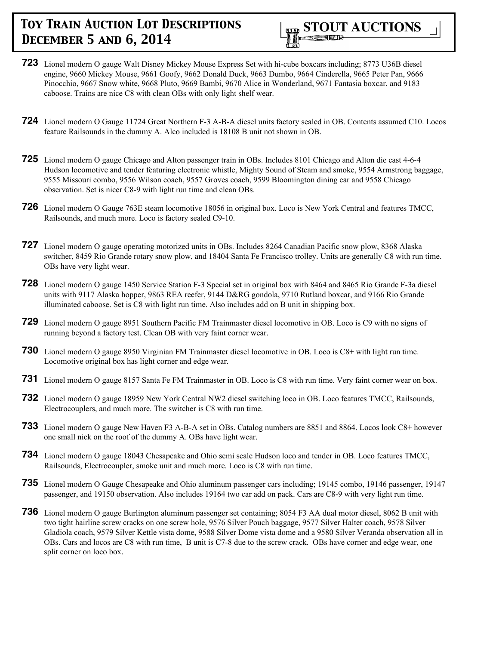

- **723** Lionel modern O gauge Walt Disney Mickey Mouse Express Set with hi-cube boxcars including; 8773 U36B diesel engine, 9660 Mickey Mouse, 9661 Goofy, 9662 Donald Duck, 9663 Dumbo, 9664 Cinderella, 9665 Peter Pan, 9666 Pinocchio, 9667 Snow white, 9668 Pluto, 9669 Bambi, 9670 Alice in Wonderland, 9671 Fantasia boxcar, and 9183 caboose. Trains are nice C8 with clean OBs with only light shelf wear.
- **724** Lionel modern O Gauge 11724 Great Northern F-3 A-B-A diesel units factory sealed in OB. Contents assumed C10. Locos feature Railsounds in the dummy A. Alco included is 18108 B unit not shown in OB.
- **725** Lionel modern O gauge Chicago and Alton passenger train in OBs. Includes 8101 Chicago and Alton die cast 4-6-4 Hudson locomotive and tender featuring electronic whistle, Mighty Sound of Steam and smoke, 9554 Armstrong baggage, 9555 Missouri combo, 9556 Wilson coach, 9557 Groves coach, 9599 Bloomington dining car and 9558 Chicago observation. Set is nicer C8-9 with light run time and clean OBs.
- **726** Lionel modern O Gauge 763E steam locomotive 18056 in original box. Loco is New York Central and features TMCC, Railsounds, and much more. Loco is factory sealed C9-10.
- **727** Lionel modern O gauge operating motorized units in OBs. Includes 8264 Canadian Pacific snow plow, 8368 Alaska switcher, 8459 Rio Grande rotary snow plow, and 18404 Santa Fe Francisco trolley. Units are generally C8 with run time. OBs have very light wear.
- **728** Lionel modern O gauge 1450 Service Station F-3 Special set in original box with 8464 and 8465 Rio Grande F-3a diesel units with 9117 Alaska hopper, 9863 REA reefer, 9144 D&RG gondola, 9710 Rutland boxcar, and 9166 Rio Grande illuminated caboose. Set is C8 with light run time. Also includes add on B unit in shipping box.
- **729** Lionel modern O gauge 8951 Southern Pacific FM Trainmaster diesel locomotive in OB. Loco is C9 with no signs of running beyond a factory test. Clean OB with very faint corner wear.
- **730** Lionel modern O gauge 8950 Virginian FM Trainmaster diesel locomotive in OB. Loco is C8+ with light run time. Locomotive original box has light corner and edge wear.
- **731** Lionel modern O gauge 8157 Santa Fe FM Trainmaster in OB. Loco is C8 with run time. Very faint corner wear on box.
- **732** Lionel modern O gauge 18959 New York Central NW2 diesel switching loco in OB. Loco features TMCC, Railsounds, Electrocouplers, and much more. The switcher is C8 with run time.
- **733** Lionel modern O gauge New Haven F3 A-B-A set in OBs. Catalog numbers are 8851 and 8864. Locos look C8+ however one small nick on the roof of the dummy A. OBs have light wear.
- **734** Lionel modern O gauge 18043 Chesapeake and Ohio semi scale Hudson loco and tender in OB. Loco features TMCC, Railsounds, Electrocoupler, smoke unit and much more. Loco is C8 with run time.
- **735** Lionel modern O Gauge Chesapeake and Ohio aluminum passenger cars including; 19145 combo, 19146 passenger, 19147 passenger, and 19150 observation. Also includes 19164 two car add on pack. Cars are C8-9 with very light run time.
- **736** Lionel modern O gauge Burlington aluminum passenger set containing; 8054 F3 AA dual motor diesel, 8062 B unit with two tight hairline screw cracks on one screw hole, 9576 Silver Pouch baggage, 9577 Silver Halter coach, 9578 Silver Gladiola coach, 9579 Silver Kettle vista dome, 9588 Silver Dome vista dome and a 9580 Silver Veranda observation all in OBs. Cars and locos are C8 with run time, B unit is C7-8 due to the screw crack. OBs have corner and edge wear, one split corner on loco box.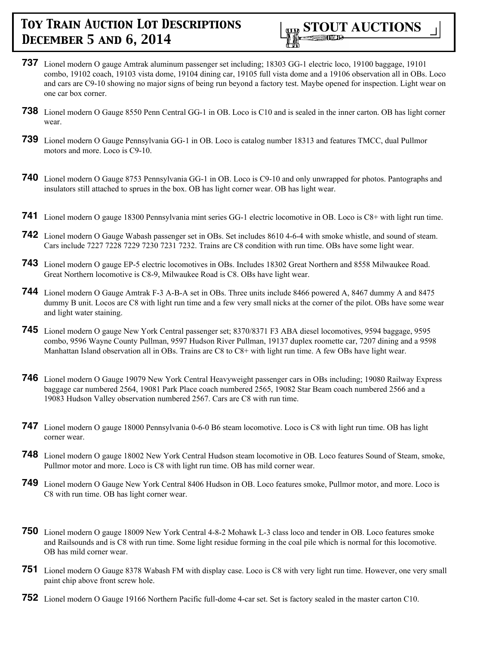

- **737** Lionel modern O gauge Amtrak aluminum passenger set including; 18303 GG-1 electric loco, 19100 baggage, 19101 combo, 19102 coach, 19103 vista dome, 19104 dining car, 19105 full vista dome and a 19106 observation all in OBs. Loco and cars are C9-10 showing no major signs of being run beyond a factory test. Maybe opened for inspection. Light wear on one car box corner.
- **738** Lionel modern O Gauge 8550 Penn Central GG-1 in OB. Loco is C10 and is sealed in the inner carton. OB has light corner wear.
- **739** Lionel modern O Gauge Pennsylvania GG-1 in OB. Loco is catalog number 18313 and features TMCC, dual Pullmor motors and more. Loco is C9-10.
- **740** Lionel modern O Gauge 8753 Pennsylvania GG-1 in OB. Loco is C9-10 and only unwrapped for photos. Pantographs and insulators still attached to sprues in the box. OB has light corner wear. OB has light wear.
- **741** Lionel modern O gauge 18300 Pennsylvania mint series GG-1 electric locomotive in OB. Loco is C8+ with light run time.
- **742** Lionel modern O Gauge Wabash passenger set in OBs. Set includes 8610 4-6-4 with smoke whistle, and sound of steam. Cars include 7227 7228 7229 7230 7231 7232. Trains are C8 condition with run time. OBs have some light wear.
- **743** Lionel modern O gauge EP-5 electric locomotives in OBs. Includes 18302 Great Northern and 8558 Milwaukee Road. Great Northern locomotive is C8-9, Milwaukee Road is C8. OBs have light wear.
- **744** Lionel modern O Gauge Amtrak F-3 A-B-A set in OBs. Three units include 8466 powered A, 8467 dummy A and 8475 dummy B unit. Locos are C8 with light run time and a few very small nicks at the corner of the pilot. OBs have some wear and light water staining.
- **745** Lionel modern O gauge New York Central passenger set; 8370/8371 F3 ABA diesel locomotives, 9594 baggage, 9595 combo, 9596 Wayne County Pullman, 9597 Hudson River Pullman, 19137 duplex roomette car, 7207 dining and a 9598 Manhattan Island observation all in OBs. Trains are C8 to C8+ with light run time. A few OBs have light wear.
- **746** Lionel modern O Gauge 19079 New York Central Heavyweight passenger cars in OBs including; 19080 Railway Express baggage car numbered 2564, 19081 Park Place coach numbered 2565, 19082 Star Beam coach numbered 2566 and a 19083 Hudson Valley observation numbered 2567. Cars are C8 with run time.
- **747** Lionel modern O gauge 18000 Pennsylvania 0-6-0 B6 steam locomotive. Loco is C8 with light run time. OB has light corner wear.
- **748** Lionel modern O gauge 18002 New York Central Hudson steam locomotive in OB. Loco features Sound of Steam, smoke, Pullmor motor and more. Loco is C8 with light run time. OB has mild corner wear.
- **749** Lionel modern O Gauge New York Central 8406 Hudson in OB. Loco features smoke, Pullmor motor, and more. Loco is C8 with run time. OB has light corner wear.
- **750** Lionel modern O gauge 18009 New York Central 4-8-2 Mohawk L-3 class loco and tender in OB. Loco features smoke and Railsounds and is C8 with run time. Some light residue forming in the coal pile which is normal for this locomotive. OB has mild corner wear.
- **751** Lionel modern O Gauge 8378 Wabash FM with display case. Loco is C8 with very light run time. However, one very small paint chip above front screw hole.
- **752** Lionel modern O Gauge 19166 Northern Pacific full-dome 4-car set. Set is factory sealed in the master carton C10.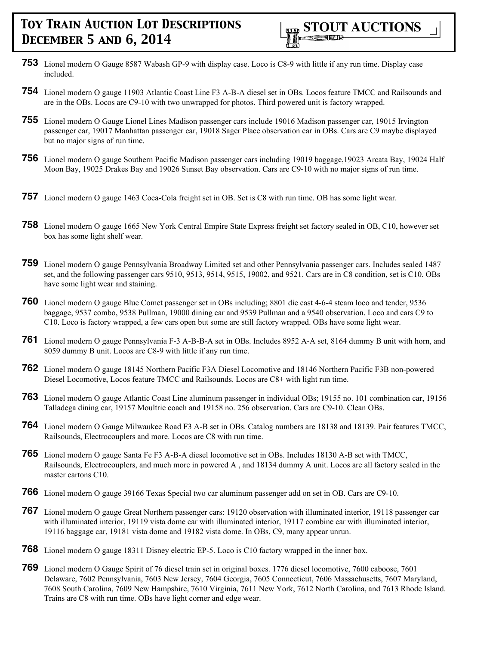- **753** Lionel modern O Gauge 8587 Wabash GP-9 with display case. Loco is C8-9 with little if any run time. Display case included.
- **754** Lionel modern O gauge 11903 Atlantic Coast Line F3 A-B-A diesel set in OBs. Locos feature TMCC and Railsounds and are in the OBs. Locos are C9-10 with two unwrapped for photos. Third powered unit is factory wrapped.
- **755** Lionel modern O Gauge Lionel Lines Madison passenger cars include 19016 Madison passenger car, 19015 Irvington passenger car, 19017 Manhattan passenger car, 19018 Sager Place observation car in OBs. Cars are C9 maybe displayed but no major signs of run time.
- **756** Lionel modern O gauge Southern Pacific Madison passenger cars including 19019 baggage,19023 Arcata Bay, 19024 Half Moon Bay, 19025 Drakes Bay and 19026 Sunset Bay observation. Cars are C9-10 with no major signs of run time.
- **757** Lionel modern O gauge 1463 Coca-Cola freight set in OB. Set is C8 with run time. OB has some light wear.
- **758** Lionel modern O gauge 1665 New York Central Empire State Express freight set factory sealed in OB, C10, however set box has some light shelf wear.
- **759** Lionel modern O gauge Pennsylvania Broadway Limited set and other Pennsylvania passenger cars. Includes sealed 1487 set, and the following passenger cars 9510, 9513, 9514, 9515, 19002, and 9521. Cars are in C8 condition, set is C10. OBs have some light wear and staining.
- **760** Lionel modern O gauge Blue Comet passenger set in OBs including; 8801 die cast 4-6-4 steam loco and tender, 9536 baggage, 9537 combo, 9538 Pullman, 19000 dining car and 9539 Pullman and a 9540 observation. Loco and cars C9 to C10. Loco is factory wrapped, a few cars open but some are still factory wrapped. OBs have some light wear.
- **761** Lionel modern O gauge Pennsylvania F-3 A-B-B-A set in OBs. Includes 8952 A-A set, 8164 dummy B unit with horn, and 8059 dummy B unit. Locos are C8-9 with little if any run time.
- **762** Lionel modern O gauge 18145 Northern Pacific F3A Diesel Locomotive and 18146 Northern Pacific F3B non-powered Diesel Locomotive, Locos feature TMCC and Railsounds. Locos are C8+ with light run time.
- **763** Lionel modern O gauge Atlantic Coast Line aluminum passenger in individual OBs; 19155 no. 101 combination car, 19156 Talladega dining car, 19157 Moultrie coach and 19158 no. 256 observation. Cars are C9-10. Clean OBs.
- **764** Lionel modern O Gauge Milwaukee Road F3 A-B set in OBs. Catalog numbers are 18138 and 18139. Pair features TMCC, Railsounds, Electrocouplers and more. Locos are C8 with run time.
- **765** Lionel modern O gauge Santa Fe F3 A-B-A diesel locomotive set in OBs. Includes 18130 A-B set with TMCC, Railsounds, Electrocouplers, and much more in powered A , and 18134 dummy A unit. Locos are all factory sealed in the master cartons C10.
- **766** Lionel modern O gauge 39166 Texas Special two car aluminum passenger add on set in OB. Cars are C9-10.
- **767** Lionel modern O gauge Great Northern passenger cars: 19120 observation with illuminated interior, 19118 passenger car with illuminated interior, 19119 vista dome car with illuminated interior, 19117 combine car with illuminated interior, 19116 baggage car, 19181 vista dome and 19182 vista dome. In OBs, C9, many appear unrun.
- **768** Lionel modern O gauge 18311 Disney electric EP-5. Loco is C10 factory wrapped in the inner box.
- **769** Lionel modern O Gauge Spirit of 76 diesel train set in original boxes. 1776 diesel locomotive, 7600 caboose, 7601 Delaware, 7602 Pennsylvania, 7603 New Jersey, 7604 Georgia, 7605 Connecticut, 7606 Massachusetts, 7607 Maryland, 7608 South Carolina, 7609 New Hampshire, 7610 Virginia, 7611 New York, 7612 North Carolina, and 7613 Rhode Island. Trains are C8 with run time. OBs have light corner and edge wear.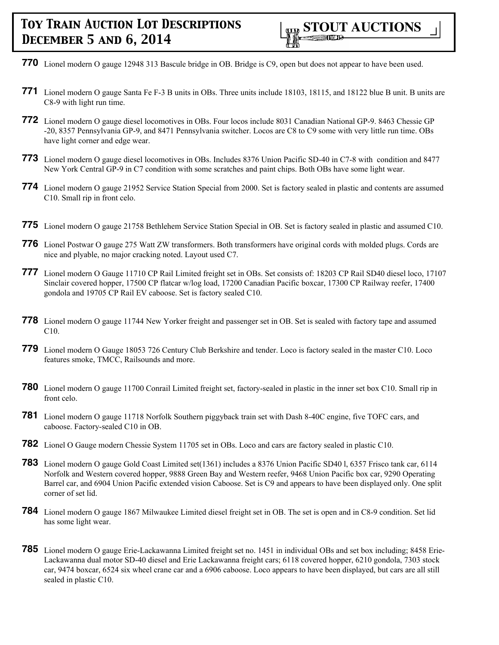- **770** Lionel modern O gauge 12948 313 Bascule bridge in OB. Bridge is C9, open but does not appear to have been used.
- **771** Lionel modern O gauge Santa Fe F-3 B units in OBs. Three units include 18103, 18115, and 18122 blue B unit. B units are C8-9 with light run time.
- **772** Lionel modern O gauge diesel locomotives in OBs. Four locos include 8031 Canadian National GP-9. 8463 Chessie GP -20, 8357 Pennsylvania GP-9, and 8471 Pennsylvania switcher. Locos are C8 to C9 some with very little run time. OBs have light corner and edge wear.
- **773** Lionel modern O gauge diesel locomotives in OBs. Includes 8376 Union Pacific SD-40 in C7-8 with condition and 8477 New York Central GP-9 in C7 condition with some scratches and paint chips. Both OBs have some light wear.
- **774** Lionel modern O gauge 21952 Service Station Special from 2000. Set is factory sealed in plastic and contents are assumed C10. Small rip in front celo.
- **775** Lionel modern O gauge 21758 Bethlehem Service Station Special in OB. Set is factory sealed in plastic and assumed C10.
- **776** Lionel Postwar O gauge 275 Watt ZW transformers. Both transformers have original cords with molded plugs. Cords are nice and plyable, no major cracking noted. Layout used C7.
- **777** Lionel modern O Gauge 11710 CP Rail Limited freight set in OBs. Set consists of: 18203 CP Rail SD40 diesel loco, 17107 Sinclair covered hopper, 17500 CP flatcar w/log load, 17200 Canadian Pacific boxcar, 17300 CP Railway reefer, 17400 gondola and 19705 CP Rail EV caboose. Set is factory sealed C10.
- **778** Lionel modern O gauge 11744 New Yorker freight and passenger set in OB. Set is sealed with factory tape and assumed C10.
- **779** Lionel modern O Gauge 18053 726 Century Club Berkshire and tender. Loco is factory sealed in the master C10. Loco features smoke, TMCC, Railsounds and more.
- **780** Lionel modern O gauge 11700 Conrail Limited freight set, factory-sealed in plastic in the inner set box C10. Small rip in front celo.
- **781** Lionel modern O gauge 11718 Norfolk Southern piggyback train set with Dash 8-40C engine, five TOFC cars, and caboose. Factory-sealed C10 in OB.
- **782** Lionel O Gauge modern Chessie System 11705 set in OBs. Loco and cars are factory sealed in plastic C10.
- **783** Lionel modern O gauge Gold Coast Limited set(1361) includes a 8376 Union Pacific SD40 l, 6357 Frisco tank car, 6114 Norfolk and Western covered hopper, 9888 Green Bay and Western reefer, 9468 Union Pacific box car, 9290 Operating Barrel car, and 6904 Union Pacific extended vision Caboose. Set is C9 and appears to have been displayed only. One split corner of set lid.
- **784** Lionel modern O gauge 1867 Milwaukee Limited diesel freight set in OB. The set is open and in C8-9 condition. Set lid has some light wear.
- **785** Lionel modern O gauge Erie-Lackawanna Limited freight set no. 1451 in individual OBs and set box including; 8458 Erie-Lackawanna dual motor SD-40 diesel and Erie Lackawanna freight cars; 6118 covered hopper, 6210 gondola, 7303 stock car, 9474 boxcar, 6524 six wheel crane car and a 6906 caboose. Loco appears to have been displayed, but cars are all still sealed in plastic C10.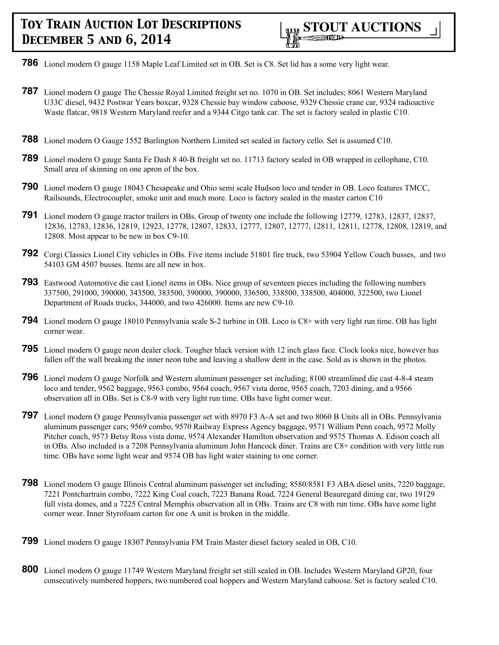- **786** Lionel modern O gauge 1158 Maple Leaf Limited set in OB. Set is C8. Set lid has a some very light wear.
- **787** Lionel modern O gauge The Chessie Royal Limited freight set no. 1070 in OB. Set includes; 8061 Western Maryland U33C diesel, 9432 Postwar Years boxcar, 9328 Chessie bay window caboose, 9329 Chessie crane car, 9324 radioactive Waste flatcar, 9818 Western Maryland reefer and a 9344 Citgo tank car. The set is factory sealed in plastic C10.
- **788** Lionel modern O Gauge 1552 Burlington Northern Limited set sealed in factory cello. Set is assumed C10.
- **789** Lionel modern O gauge Santa Fe Dash 8 40-B freight set no. 11713 factory sealed in OB wrapped in cellophane, C10. Small area of skinning on one apron of the box.
- **790** Lionel modern O gauge 18043 Chesapeake and Ohio semi scale Hudson loco and tender in OB. Loco features TMCC, Railsounds, Electrocoupler, smoke unit and much more. Loco is factory sealed in the master carton C10
- **791** Lionel modern O gauge tractor trailers in OBs. Group of twenty one include the following 12779, 12783, 12837, 12837, 12836, 12783, 12836, 12819, 12923, 12778, 12807, 12833, 12777, 12807, 12777, 12811, 12811, 12778, 12808, 12819, and 12808. Most appear to be new in box C9-10.
- **792** Corgi Classics Lionel City vehicles in OBs. Five items include 51801 fire truck, two 53904 Yellow Coach busses, and two 54103 GM 4507 busses. Items are all new in box.
- **793** Eastwood Automotive die cast Lionel items in OBs. Nice group of seventeen pieces including the following numbers 337500, 291000, 390000, 343500, 383500, 390000, 390000, 336500, 338500, 338500, 404000, 322500, two Lionel Department of Roads trucks, 344000, and two 426000. Items are new C9-10.
- **794** Lionel modern O gauge 18010 Pennsylvania scale S-2 turbine in OB. Loco is C8+ with very light run time. OB has light corner wear.
- **795** Lionel modern O gauge neon dealer clock. Tougher black version with 12 inch glass face. Clock looks nice, however has fallen off the wall breaking the inner neon tube and leaving a shallow dent in the case. Sold as is shown in the photos.
- **796** Lionel modern O gauge Norfolk and Western aluminum passenger set including; 8100 streamlined die cast 4-8-4 steam loco and tender, 9562 baggage, 9563 combo, 9564 coach, 9567 vista dome, 9565 coach, 7203 dining, and a 9566 observation all in OBs. Set is C8-9 with very light run time. OBs have light corner wear.
- **797** Lionel modern O gauge Pennsylvania passenger set with 8970 F3 A-A set and two 8060 B Units all in OBs. Pennsylvania aluminum passenger cars; 9569 combo, 9570 Railway Express Agency baggage, 9571 William Penn coach, 9572 Molly Pitcher coach, 9573 Betsy Ross vista dome, 9574 Alexander Hamilton observation and 9575 Thomas A. Edison coach all in OBs. Also included is a 7208 Pennsylvania aluminum John Hancock diner. Trains are C8+ condition with very little run time. OBs have some light wear and 9574 OB has light water staining to one corner.
- **798** Lionel modern O gauge Illinois Central aluminum passenger set including; 8580/8581 F3 ABA diesel units, 7220 baggage, 7221 Pontchartrain combo, 7222 King Coal coach, 7223 Banana Road, 7224 General Beauregard dining car, two 19129 full vista domes, and a 7225 Central Memphis observation all in OBs. Trains are C8 with run time. OBs have some light corner wear. Inner Styrofoam carton for one A unit is broken in the middle.
- **799** Lionel modern O gauge 18307 Pennsylvania FM Train Master diesel factory sealed in OB, C10.
- **800** Lionel modern O gauge 11749 Western Maryland freight set still sealed in OB. Includes Western Maryland GP20, four consecutively numbered hoppers, two numbered coal hoppers and Western Maryland caboose. Set is factory sealed C10.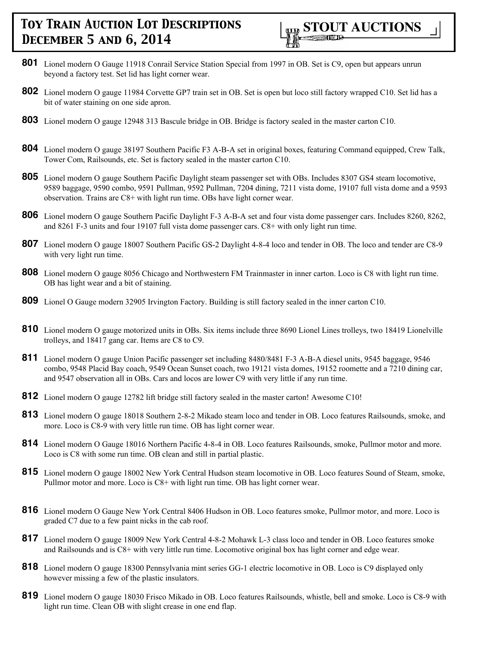

- **801** Lionel modern O Gauge 11918 Conrail Service Station Special from 1997 in OB. Set is C9, open but appears unrun beyond a factory test. Set lid has light corner wear.
- **802** Lionel modern O gauge 11984 Corvette GP7 train set in OB. Set is open but loco still factory wrapped C10. Set lid has a bit of water staining on one side apron.
- **803** Lionel modern O gauge 12948 313 Bascule bridge in OB. Bridge is factory sealed in the master carton C10.
- **804** Lionel modern O gauge 38197 Southern Pacific F3 A-B-A set in original boxes, featuring Command equipped, Crew Talk, Tower Com, Railsounds, etc. Set is factory sealed in the master carton C10.
- **805** Lionel modern O gauge Southern Pacific Daylight steam passenger set with OBs. Includes 8307 GS4 steam locomotive, 9589 baggage, 9590 combo, 9591 Pullman, 9592 Pullman, 7204 dining, 7211 vista dome, 19107 full vista dome and a 9593 observation. Trains are C8+ with light run time. OBs have light corner wear.
- **806** Lionel modern O gauge Southern Pacific Daylight F-3 A-B-A set and four vista dome passenger cars. Includes 8260, 8262, and 8261 F-3 units and four 19107 full vista dome passenger cars. C8+ with only light run time.
- **807** Lionel modern O gauge 18007 Southern Pacific GS-2 Daylight 4-8-4 loco and tender in OB. The loco and tender are C8-9 with very light run time.
- **808** Lionel modern O gauge 8056 Chicago and Northwestern FM Trainmaster in inner carton. Loco is C8 with light run time. OB has light wear and a bit of staining.
- **809** Lionel O Gauge modern 32905 Irvington Factory. Building is still factory sealed in the inner carton C10.
- **810** Lionel modern O gauge motorized units in OBs. Six items include three 8690 Lionel Lines trolleys, two 18419 Lionelville trolleys, and 18417 gang car. Items are C8 to C9.
- **811** Lionel modern O gauge Union Pacific passenger set including 8480/8481 F-3 A-B-A diesel units, 9545 baggage, 9546 combo, 9548 Placid Bay coach, 9549 Ocean Sunset coach, two 19121 vista domes, 19152 roomette and a 7210 dining car, and 9547 observation all in OBs. Cars and locos are lower C9 with very little if any run time.
- **812** Lionel modern O gauge 12782 lift bridge still factory sealed in the master carton! Awesome C10!
- **813** Lionel modern O gauge 18018 Southern 2-8-2 Mikado steam loco and tender in OB. Loco features Railsounds, smoke, and more. Loco is C8-9 with very little run time. OB has light corner wear.
- **814** Lionel modern O Gauge 18016 Northern Pacific 4-8-4 in OB. Loco features Railsounds, smoke, Pullmor motor and more. Loco is C8 with some run time. OB clean and still in partial plastic.
- **815** Lionel modern O gauge 18002 New York Central Hudson steam locomotive in OB. Loco features Sound of Steam, smoke, Pullmor motor and more. Loco is C8+ with light run time. OB has light corner wear.
- **816** Lionel modern O Gauge New York Central 8406 Hudson in OB. Loco features smoke, Pullmor motor, and more. Loco is graded C7 due to a few paint nicks in the cab roof.
- **817** Lionel modern O gauge 18009 New York Central 4-8-2 Mohawk L-3 class loco and tender in OB. Loco features smoke and Railsounds and is C8+ with very little run time. Locomotive original box has light corner and edge wear.
- **818** Lionel modern O gauge 18300 Pennsylvania mint series GG-1 electric locomotive in OB. Loco is C9 displayed only however missing a few of the plastic insulators.
- **819** Lionel modern O gauge 18030 Frisco Mikado in OB. Loco features Railsounds, whistle, bell and smoke. Loco is C8-9 with light run time. Clean OB with slight crease in one end flap.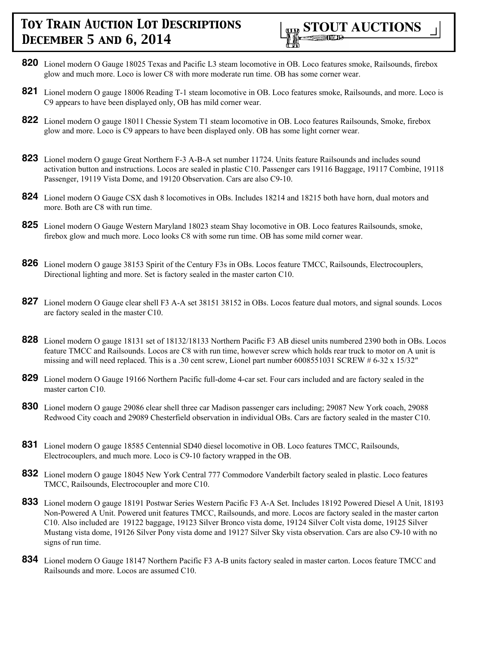

- **820** Lionel modern O Gauge 18025 Texas and Pacific L3 steam locomotive in OB. Loco features smoke, Railsounds, firebox glow and much more. Loco is lower C8 with more moderate run time. OB has some corner wear.
- **821** Lionel modern O gauge 18006 Reading T-1 steam locomotive in OB. Loco features smoke, Railsounds, and more. Loco is C9 appears to have been displayed only, OB has mild corner wear.
- **822** Lionel modern O gauge 18011 Chessie System T1 steam locomotive in OB. Loco features Railsounds, Smoke, firebox glow and more. Loco is C9 appears to have been displayed only. OB has some light corner wear.
- **823** Lionel modern O gauge Great Northern F-3 A-B-A set number 11724. Units feature Railsounds and includes sound activation button and instructions. Locos are sealed in plastic C10. Passenger cars 19116 Baggage, 19117 Combine, 19118 Passenger, 19119 Vista Dome, and 19120 Observation. Cars are also C9-10.
- **824** Lionel modern O Gauge CSX dash 8 locomotives in OBs. Includes 18214 and 18215 both have horn, dual motors and more. Both are C8 with run time.
- **825** Lionel modern O Gauge Western Maryland 18023 steam Shay locomotive in OB. Loco features Railsounds, smoke, firebox glow and much more. Loco looks C8 with some run time. OB has some mild corner wear.
- **826** Lionel modern O gauge 38153 Spirit of the Century F3s in OBs. Locos feature TMCC, Railsounds, Electrocouplers, Directional lighting and more. Set is factory sealed in the master carton C10.
- **827** Lionel modern O Gauge clear shell F3 A-A set 38151 38152 in OBs. Locos feature dual motors, and signal sounds. Locos are factory sealed in the master C10.
- **828** Lionel modern O gauge 18131 set of 18132/18133 Northern Pacific F3 AB diesel units numbered 2390 both in OBs. Locos feature TMCC and Railsounds. Locos are C8 with run time, however screw which holds rear truck to motor on A unit is missing and will need replaced. This is a .30 cent screw, Lionel part number 6008551031 SCREW # 6-32 x 15/32"
- **829** Lionel modern O Gauge 19166 Northern Pacific full-dome 4-car set. Four cars included and are factory sealed in the master carton C10.
- **830** Lionel modern O gauge 29086 clear shell three car Madison passenger cars including; 29087 New York coach, 29088 Redwood City coach and 29089 Chesterfield observation in individual OBs. Cars are factory sealed in the master C10.
- **831** Lionel modern O gauge 18585 Centennial SD40 diesel locomotive in OB. Loco features TMCC, Railsounds, Electrocouplers, and much more. Loco is C9-10 factory wrapped in the OB.
- **832** Lionel modern O gauge 18045 New York Central 777 Commodore Vanderbilt factory sealed in plastic. Loco features TMCC, Railsounds, Electrocoupler and more C10.
- **833** Lionel modern O gauge 18191 Postwar Series Western Pacific F3 A-A Set. Includes 18192 Powered Diesel A Unit, 18193 Non-Powered A Unit. Powered unit features TMCC, Railsounds, and more. Locos are factory sealed in the master carton C10. Also included are 19122 baggage, 19123 Silver Bronco vista dome, 19124 Silver Colt vista dome, 19125 Silver Mustang vista dome, 19126 Silver Pony vista dome and 19127 Silver Sky vista observation. Cars are also C9-10 with no signs of run time.
- **834** Lionel modern O Gauge 18147 Northern Pacific F3 A-B units factory sealed in master carton. Locos feature TMCC and Railsounds and more. Locos are assumed C10.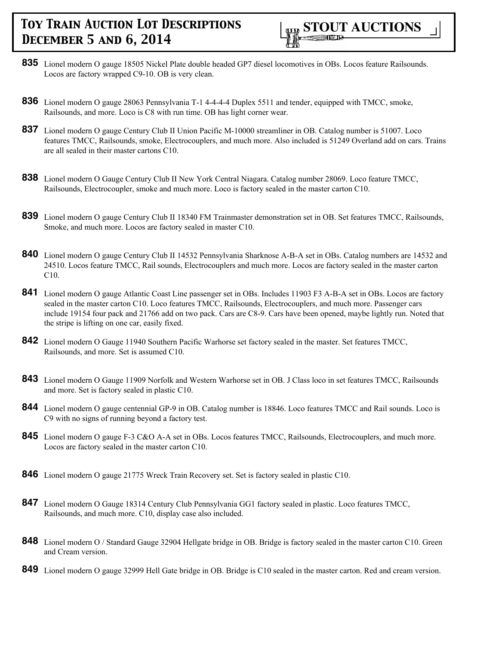

- **835** Lionel modern O gauge 18505 Nickel Plate double headed GP7 diesel locomotives in OBs. Locos feature Railsounds. Locos are factory wrapped C9-10. OB is very clean.
- **836** Lionel modern O gauge 28063 Pennsylvania T-1 4-4-4-4 Duplex 5511 and tender, equipped with TMCC, smoke, Railsounds, and more. Loco is C8 with run time. OB has light corner wear.
- **837** Lionel modern O gauge Century Club II Union Pacific M-10000 streamliner in OB. Catalog number is 51007. Loco features TMCC, Railsounds, smoke, Electrocouplers, and much more. Also included is 51249 Overland add on cars. Trains are all sealed in their master cartons C10.
- **838** Lionel modern O Gauge Century Club II New York Central Niagara. Catalog number 28069. Loco feature TMCC, Railsounds, Electrocoupler, smoke and much more. Loco is factory sealed in the master carton C10.
- **839** Lionel modern O gauge Century Club II 18340 FM Trainmaster demonstration set in OB. Set features TMCC, Railsounds, Smoke, and much more. Locos are factory sealed in master C10.
- **840** Lionel modern O gauge Century Club II 14532 Pennsylvania Sharknose A-B-A set in OBs. Catalog numbers are 14532 and 24510. Locos feature TMCC, Rail sounds, Electrocouplers and much more. Locos are factory sealed in the master carton C10.
- **841** Lionel modern O gauge Atlantic Coast Line passenger set in OBs. Includes 11903 F3 A-B-A set in OBs. Locos are factory sealed in the master carton C10. Loco features TMCC, Railsounds, Electrocouplers, and much more. Passenger cars include 19154 four pack and 21766 add on two pack. Cars are C8-9. Cars have been opened, maybe lightly run. Noted that the stripe is lifting on one car, easily fixed.
- **842** Lionel modern O Gauge 11940 Southern Pacific Warhorse set factory sealed in the master. Set features TMCC, Railsounds, and more. Set is assumed C10.
- **843** Lionel modern O Gauge 11909 Norfolk and Western Warhorse set in OB. J Class loco in set features TMCC, Railsounds and more. Set is factory sealed in plastic C10.
- **844** Lionel modern O gauge centennial GP-9 in OB. Catalog number is 18846. Loco features TMCC and Rail sounds. Loco is C9 with no signs of running beyond a factory test.
- **845** Lionel modern O gauge F-3 C&O A-A set in OBs. Locos features TMCC, Railsounds, Electrocouplers, and much more. Locos are factory sealed in the master carton C10.
- **846** Lionel modern O gauge 21775 Wreck Train Recovery set. Set is factory sealed in plastic C10.
- **847** Lionel modern O Gauge 18314 Century Club Pennsylvania GG1 factory sealed in plastic. Loco features TMCC, Railsounds, and much more. C10, display case also included.
- **848** Lionel modern O / Standard Gauge 32904 Hellgate bridge in OB. Bridge is factory sealed in the master carton C10. Green and Cream version.
- **849** Lionel modern O gauge 32999 Hell Gate bridge in OB. Bridge is C10 sealed in the master carton. Red and cream version.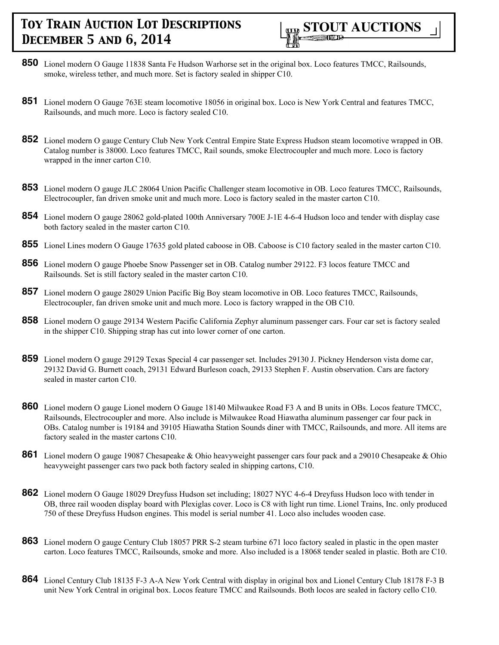

- **850** Lionel modern O Gauge 11838 Santa Fe Hudson Warhorse set in the original box. Loco features TMCC, Railsounds, smoke, wireless tether, and much more. Set is factory sealed in shipper C10.
- **851** Lionel modern O Gauge 763E steam locomotive 18056 in original box. Loco is New York Central and features TMCC, Railsounds, and much more. Loco is factory sealed C10.
- **852** Lionel modern O gauge Century Club New York Central Empire State Express Hudson steam locomotive wrapped in OB. Catalog number is 38000. Loco features TMCC, Rail sounds, smoke Electrocoupler and much more. Loco is factory wrapped in the inner carton C10.
- **853** Lionel modern O gauge JLC 28064 Union Pacific Challenger steam locomotive in OB. Loco features TMCC, Railsounds, Electrocoupler, fan driven smoke unit and much more. Loco is factory sealed in the master carton C10.
- **854** Lionel modern O gauge 28062 gold-plated 100th Anniversary 700E J-1E 4-6-4 Hudson loco and tender with display case both factory sealed in the master carton C10.
- **855** Lionel Lines modern O Gauge 17635 gold plated caboose in OB. Caboose is C10 factory sealed in the master carton C10.
- **856** Lionel modern O gauge Phoebe Snow Passenger set in OB. Catalog number 29122. F3 locos feature TMCC and Railsounds. Set is still factory sealed in the master carton C10.
- **857** Lionel modern O gauge 28029 Union Pacific Big Boy steam locomotive in OB. Loco features TMCC, Railsounds, Electrocoupler, fan driven smoke unit and much more. Loco is factory wrapped in the OB C10.
- **858** Lionel modern O gauge 29134 Western Pacific California Zephyr aluminum passenger cars. Four car set is factory sealed in the shipper C10. Shipping strap has cut into lower corner of one carton.
- **859** Lionel modern O gauge 29129 Texas Special 4 car passenger set. Includes 29130 J. Pickney Henderson vista dome car, 29132 David G. Burnett coach, 29131 Edward Burleson coach, 29133 Stephen F. Austin observation. Cars are factory sealed in master carton C10.
- **860** Lionel modern O gauge Lionel modern O Gauge 18140 Milwaukee Road F3 A and B units in OBs. Locos feature TMCC, Railsounds, Electrocoupler and more. Also include is Milwaukee Road Hiawatha aluminum passenger car four pack in OBs. Catalog number is 19184 and 39105 Hiawatha Station Sounds diner with TMCC, Railsounds, and more. All items are factory sealed in the master cartons C10.
- **861** Lionel modern O gauge 19087 Chesapeake & Ohio heavyweight passenger cars four pack and a 29010 Chesapeake & Ohio heavyweight passenger cars two pack both factory sealed in shipping cartons, C10.
- **862** Lionel modern O Gauge 18029 Dreyfuss Hudson set including; 18027 NYC 4-6-4 Dreyfuss Hudson loco with tender in OB, three rail wooden display board with Plexiglas cover. Loco is C8 with light run time. Lionel Trains, Inc. only produced 750 of these Dreyfuss Hudson engines. This model is serial number 41. Loco also includes wooden case.
- **863** Lionel modern O gauge Century Club 18057 PRR S-2 steam turbine 671 loco factory sealed in plastic in the open master carton. Loco features TMCC, Railsounds, smoke and more. Also included is a 18068 tender sealed in plastic. Both are C10.
- **864** Lionel Century Club 18135 F-3 A-A New York Central with display in original box and Lionel Century Club 18178 F-3 B unit New York Central in original box. Locos feature TMCC and Railsounds. Both locos are sealed in factory cello C10.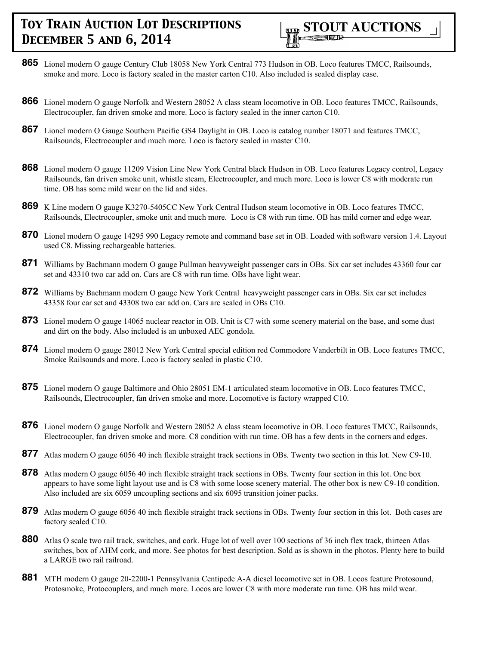

- **865** Lionel modern O gauge Century Club 18058 New York Central 773 Hudson in OB. Loco features TMCC, Railsounds, smoke and more. Loco is factory sealed in the master carton C10. Also included is sealed display case.
- **866** Lionel modern O gauge Norfolk and Western 28052 A class steam locomotive in OB. Loco features TMCC, Railsounds, Electrocoupler, fan driven smoke and more. Loco is factory sealed in the inner carton C10.
- **867** Lionel modern O Gauge Southern Pacific GS4 Daylight in OB. Loco is catalog number 18071 and features TMCC, Railsounds, Electrocoupler and much more. Loco is factory sealed in master C10.
- **868** Lionel modern O gauge 11209 Vision Line New York Central black Hudson in OB. Loco features Legacy control, Legacy Railsounds, fan driven smoke unit, whistle steam, Electrocoupler, and much more. Loco is lower C8 with moderate run time. OB has some mild wear on the lid and sides.
- **869** K Line modern O gauge K3270-5405CC New York Central Hudson steam locomotive in OB. Loco features TMCC, Railsounds, Electrocoupler, smoke unit and much more. Loco is C8 with run time. OB has mild corner and edge wear.
- **870** Lionel modern O gauge 14295 990 Legacy remote and command base set in OB. Loaded with software version 1.4. Layout used C8. Missing rechargeable batteries.
- **871** Williams by Bachmann modern O gauge Pullman heavyweight passenger cars in OBs. Six car set includes 43360 four car set and 43310 two car add on. Cars are C8 with run time. OBs have light wear.
- **872** Williams by Bachmann modern O gauge New York Central heavyweight passenger cars in OBs. Six car set includes 43358 four car set and 43308 two car add on. Cars are sealed in OBs C10.
- **873** Lionel modern O gauge 14065 nuclear reactor in OB. Unit is C7 with some scenery material on the base, and some dust and dirt on the body. Also included is an unboxed AEC gondola.
- **874** Lionel modern O gauge 28012 New York Central special edition red Commodore Vanderbilt in OB. Loco features TMCC, Smoke Railsounds and more. Loco is factory sealed in plastic C10.
- **875** Lionel modern O gauge Baltimore and Ohio 28051 EM-1 articulated steam locomotive in OB. Loco features TMCC, Railsounds, Electrocoupler, fan driven smoke and more. Locomotive is factory wrapped C10.
- **876** Lionel modern O gauge Norfolk and Western 28052 A class steam locomotive in OB. Loco features TMCC, Railsounds, Electrocoupler, fan driven smoke and more. C8 condition with run time. OB has a few dents in the corners and edges.
- **877** Atlas modern O gauge 6056 40 inch flexible straight track sections in OBs. Twenty two section in this lot. New C9-10.
- **878** Atlas modern O gauge 6056 40 inch flexible straight track sections in OBs. Twenty four section in this lot. One box appears to have some light layout use and is C8 with some loose scenery material. The other box is new C9-10 condition. Also included are six 6059 uncoupling sections and six 6095 transition joiner packs.
- **879** Atlas modern O gauge 6056 40 inch flexible straight track sections in OBs. Twenty four section in this lot. Both cases are factory sealed C10.
- **880** Atlas O scale two rail track, switches, and cork. Huge lot of well over 100 sections of 36 inch flex track, thirteen Atlas switches, box of AHM cork, and more. See photos for best description. Sold as is shown in the photos. Plenty here to build a LARGE two rail railroad.
- **881** MTH modern O gauge 20-2200-1 Pennsylvania Centipede A-A diesel locomotive set in OB. Locos feature Protosound, Protosmoke, Protocouplers, and much more. Locos are lower C8 with more moderate run time. OB has mild wear.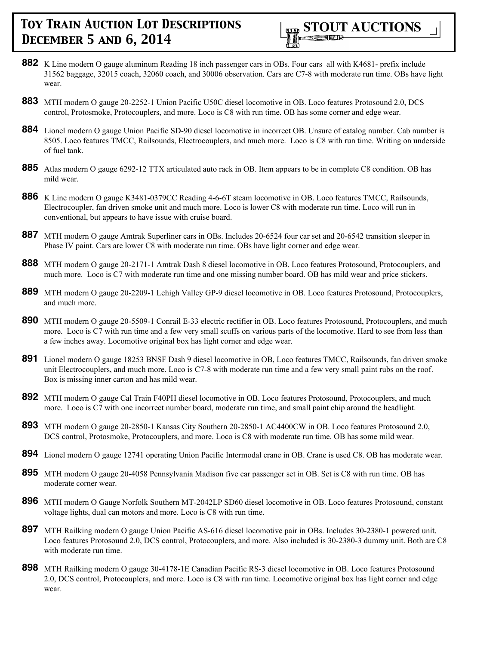

- **882** K Line modern O gauge aluminum Reading 18 inch passenger cars in OBs. Four cars all with K4681- prefix include 31562 baggage, 32015 coach, 32060 coach, and 30006 observation. Cars are C7-8 with moderate run time. OBs have light wear.
- **883** MTH modern O gauge 20-2252-1 Union Pacific U50C diesel locomotive in OB. Loco features Protosound 2.0, DCS control, Protosmoke, Protocouplers, and more. Loco is C8 with run time. OB has some corner and edge wear.
- **884** Lionel modern O gauge Union Pacific SD-90 diesel locomotive in incorrect OB. Unsure of catalog number. Cab number is 8505. Loco features TMCC, Railsounds, Electrocouplers, and much more. Loco is C8 with run time. Writing on underside of fuel tank.
- **885** Atlas modern O gauge 6292-12 TTX articulated auto rack in OB. Item appears to be in complete C8 condition. OB has mild wear.
- **886** K Line modern O gauge K3481-0379CC Reading 4-6-6T steam locomotive in OB. Loco features TMCC, Railsounds, Electrocoupler, fan driven smoke unit and much more. Loco is lower C8 with moderate run time. Loco will run in conventional, but appears to have issue with cruise board.
- **887** MTH modern O gauge Amtrak Superliner cars in OBs. Includes 20-6524 four car set and 20-6542 transition sleeper in Phase IV paint. Cars are lower C8 with moderate run time. OBs have light corner and edge wear.
- **888** MTH modern O gauge 20-2171-1 Amtrak Dash 8 diesel locomotive in OB. Loco features Protosound, Protocouplers, and much more. Loco is C7 with moderate run time and one missing number board. OB has mild wear and price stickers.
- **889** MTH modern O gauge 20-2209-1 Lehigh Valley GP-9 diesel locomotive in OB. Loco features Protosound, Protocouplers, and much more.
- **890** MTH modern O gauge 20-5509-1 Conrail E-33 electric rectifier in OB. Loco features Protosound, Protocouplers, and much more. Loco is C7 with run time and a few very small scuffs on various parts of the locomotive. Hard to see from less than a few inches away. Locomotive original box has light corner and edge wear.
- **891** Lionel modern O gauge 18253 BNSF Dash 9 diesel locomotive in OB, Loco features TMCC, Railsounds, fan driven smoke unit Electrocouplers, and much more. Loco is C7-8 with moderate run time and a few very small paint rubs on the roof. Box is missing inner carton and has mild wear.
- **892** MTH modern O gauge Cal Train F40PH diesel locomotive in OB. Loco features Protosound, Protocouplers, and much more. Loco is C7 with one incorrect number board, moderate run time, and small paint chip around the headlight.
- **893** MTH modern O gauge 20-2850-1 Kansas City Southern 20-2850-1 AC4400CW in OB. Loco features Protosound 2.0, DCS control, Protosmoke, Protocouplers, and more. Loco is C8 with moderate run time. OB has some mild wear.
- **894** Lionel modern O gauge 12741 operating Union Pacific Intermodal crane in OB. Crane is used C8. OB has moderate wear.
- **895** MTH modern O gauge 20-4058 Pennsylvania Madison five car passenger set in OB. Set is C8 with run time. OB has moderate corner wear.
- **896** MTH modern O Gauge Norfolk Southern MT-2042LP SD60 diesel locomotive in OB. Loco features Protosound, constant voltage lights, dual can motors and more. Loco is C8 with run time.
- **897** MTH Railking modern O gauge Union Pacific AS-616 diesel locomotive pair in OBs. Includes 30-2380-1 powered unit. Loco features Protosound 2.0, DCS control, Protocouplers, and more. Also included is 30-2380-3 dummy unit. Both are C8 with moderate run time.
- **898** MTH Railking modern O gauge 30-4178-1E Canadian Pacific RS-3 diesel locomotive in OB. Loco features Protosound 2.0, DCS control, Protocouplers, and more. Loco is C8 with run time. Locomotive original box has light corner and edge wear.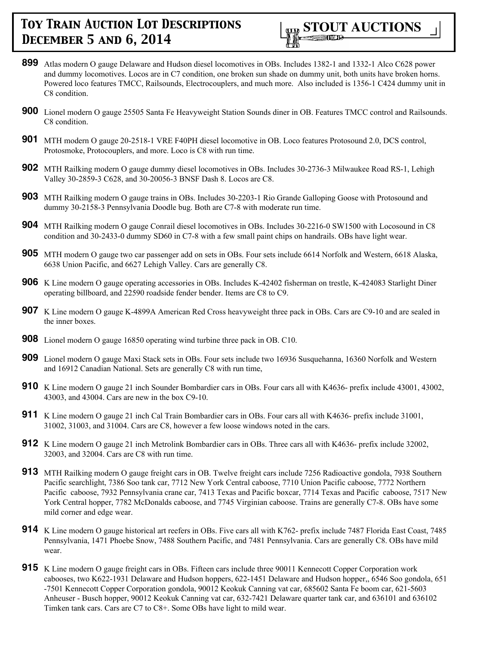

- **899** Atlas modern O gauge Delaware and Hudson diesel locomotives in OBs. Includes 1382-1 and 1332-1 Alco C628 power and dummy locomotives. Locos are in C7 condition, one broken sun shade on dummy unit, both units have broken horns. Powered loco features TMCC, Railsounds, Electrocouplers, and much more. Also included is 1356-1 C424 dummy unit in C8 condition.
- **900** Lionel modern O gauge 25505 Santa Fe Heavyweight Station Sounds diner in OB. Features TMCC control and Railsounds. C8 condition.
- **901** MTH modern O gauge 20-2518-1 VRE F40PH diesel locomotive in OB. Loco features Protosound 2.0, DCS control, Protosmoke, Protocouplers, and more. Loco is C8 with run time.
- **902** MTH Railking modern O gauge dummy diesel locomotives in OBs. Includes 30-2736-3 Milwaukee Road RS-1, Lehigh Valley 30-2859-3 C628, and 30-20056-3 BNSF Dash 8. Locos are C8.
- **903** MTH Railking modern O gauge trains in OBs. Includes 30-2203-1 Rio Grande Galloping Goose with Protosound and dummy 30-2158-3 Pennsylvania Doodle bug. Both are C7-8 with moderate run time.
- **904** MTH Railking modern O gauge Conrail diesel locomotives in OBs. Includes 30-2216-0 SW1500 with Locosound in C8 condition and 30-2433-0 dummy SD60 in C7-8 with a few small paint chips on handrails. OBs have light wear.
- **905** MTH modern O gauge two car passenger add on sets in OBs. Four sets include 6614 Norfolk and Western, 6618 Alaska, 6638 Union Pacific, and 6627 Lehigh Valley. Cars are generally C8.
- **906** K Line modern O gauge operating accessories in OBs. Includes K-42402 fisherman on trestle, K-424083 Starlight Diner operating billboard, and 22590 roadside fender bender. Items are C8 to C9.
- **907** K Line modern O gauge K-4899A American Red Cross heavyweight three pack in OBs. Cars are C9-10 and are sealed in the inner boxes.
- **908** Lionel modern O gauge 16850 operating wind turbine three pack in OB. C10.
- **909** Lionel modern O gauge Maxi Stack sets in OBs. Four sets include two 16936 Susquehanna, 16360 Norfolk and Western and 16912 Canadian National. Sets are generally C8 with run time,
- **910** K Line modern O gauge 21 inch Sounder Bombardier cars in OBs. Four cars all with K4636- prefix include 43001, 43002, 43003, and 43004. Cars are new in the box C9-10.
- **911** K Line modern O gauge 21 inch Cal Train Bombardier cars in OBs. Four cars all with K4636- prefix include 31001, 31002, 31003, and 31004. Cars are C8, however a few loose windows noted in the cars.
- **912** K Line modern O gauge 21 inch Metrolink Bombardier cars in OBs. Three cars all with K4636- prefix include 32002, 32003, and 32004. Cars are C8 with run time.
- **913** MTH Railking modern O gauge freight cars in OB. Twelve freight cars include 7256 Radioactive gondola, 7938 Southern Pacific searchlight, 7386 Soo tank car, 7712 New York Central caboose, 7710 Union Pacific caboose, 7772 Northern Pacific caboose, 7932 Pennsylvania crane car, 7413 Texas and Pacific boxcar, 7714 Texas and Pacific caboose, 7517 New York Central hopper, 7782 McDonalds caboose, and 7745 Virginian caboose. Trains are generally C7-8. OBs have some mild corner and edge wear.
- **914** K Line modern O gauge historical art reefers in OBs. Five cars all with K762- prefix include 7487 Florida East Coast, 7485 Pennsylvania, 1471 Phoebe Snow, 7488 Southern Pacific, and 7481 Pennsylvania. Cars are generally C8. OBs have mild wear.
- **915** K Line modern O gauge freight cars in OBs. Fifteen cars include three 90011 Kennecott Copper Corporation work cabooses, two K622-1931 Delaware and Hudson hoppers, 622-1451 Delaware and Hudson hopper,, 6546 Soo gondola, 651 -7501 Kennecott Copper Corporation gondola, 90012 Keokuk Canning vat car, 685602 Santa Fe boom car, 621-5603 Anheuser - Busch hopper, 90012 Keokuk Canning vat car, 632-7421 Delaware quarter tank car, and 636101 and 636102 Timken tank cars. Cars are C7 to C8+. Some OBs have light to mild wear.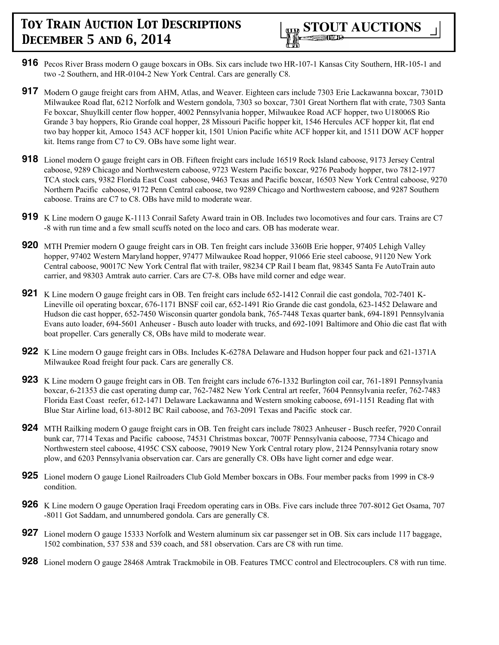

- **916** Pecos River Brass modern O gauge boxcars in OBs. Six cars include two HR-107-1 Kansas City Southern, HR-105-1 and two -2 Southern, and HR-0104-2 New York Central. Cars are generally C8.
- **917** Modern O gauge freight cars from AHM, Atlas, and Weaver. Eighteen cars include 7303 Erie Lackawanna boxcar, 7301D Milwaukee Road flat, 6212 Norfolk and Western gondola, 7303 so boxcar, 7301 Great Northern flat with crate, 7303 Santa Fe boxcar, Shuylkill center flow hopper, 4002 Pennsylvania hopper, Milwaukee Road ACF hopper, two U18006S Rio Grande 3 bay hoppers, Rio Grande coal hopper, 28 Missouri Pacific hopper kit, 1546 Hercules ACF hopper kit, flat end two bay hopper kit, Amoco 1543 ACF hopper kit, 1501 Union Pacific white ACF hopper kit, and 1511 DOW ACF hopper kit. Items range from C7 to C9. OBs have some light wear.
- **918** Lionel modern O gauge freight cars in OB. Fifteen freight cars include 16519 Rock Island caboose, 9173 Jersey Central caboose, 9289 Chicago and Northwestern caboose, 9723 Western Pacific boxcar, 9276 Peabody hopper, two 7812-1977 TCA stock cars, 9382 Florida East Coast caboose, 9463 Texas and Pacific boxcar, 16503 New York Central caboose, 9270 Northern Pacific caboose, 9172 Penn Central caboose, two 9289 Chicago and Northwestern caboose, and 9287 Southern caboose. Trains are C7 to C8. OBs have mild to moderate wear.
- **919** K Line modern O gauge K-1113 Conrail Safety Award train in OB. Includes two locomotives and four cars. Trains are C7 -8 with run time and a few small scuffs noted on the loco and cars. OB has moderate wear.
- **920** MTH Premier modern O gauge freight cars in OB. Ten freight cars include 3360B Erie hopper, 97405 Lehigh Valley hopper, 97402 Western Maryland hopper, 97477 Milwaukee Road hopper, 91066 Erie steel caboose, 91120 New York Central caboose, 90017C New York Central flat with trailer, 98234 CP Rail I beam flat, 98345 Santa Fe AutoTrain auto carrier, and 98303 Amtrak auto carrier. Cars are C7-8. OBs have mild corner and edge wear.
- **921** K Line modern O gauge freight cars in OB. Ten freight cars include 652-1412 Conrail die cast gondola, 702-7401 K-Lineville oil operating boxcar, 676-1171 BNSF coil car, 652-1491 Rio Grande die cast gondola, 623-1452 Delaware and Hudson die cast hopper, 652-7450 Wisconsin quarter gondola bank, 765-7448 Texas quarter bank, 694-1891 Pennsylvania Evans auto loader, 694-5601 Anheuser - Busch auto loader with trucks, and 692-1091 Baltimore and Ohio die cast flat with boat propeller. Cars generally C8, OBs have mild to moderate wear.
- **922** K Line modern O gauge freight cars in OBs. Includes K-6278A Delaware and Hudson hopper four pack and 621-1371A Milwaukee Road freight four pack. Cars are generally C8.
- **923** K Line modern O gauge freight cars in OB. Ten freight cars include 676-1332 Burlington coil car, 761-1891 Pennsylvania boxcar, 6-21353 die cast operating dump car, 762-7482 New York Central art reefer, 7604 Pennsylvania reefer, 762-7483 Florida East Coast reefer, 612-1471 Delaware Lackawanna and Western smoking caboose, 691-1151 Reading flat with Blue Star Airline load, 613-8012 BC Rail caboose, and 763-2091 Texas and Pacific stock car.
- **924** MTH Railking modern O gauge freight cars in OB. Ten freight cars include 78023 Anheuser Busch reefer, 7920 Conrail bunk car, 7714 Texas and Pacific caboose, 74531 Christmas boxcar, 7007F Pennsylvania caboose, 7734 Chicago and Northwestern steel caboose, 4195C CSX caboose, 79019 New York Central rotary plow, 2124 Pennsylvania rotary snow plow, and 6203 Pennsylvania observation car. Cars are generally C8. OBs have light corner and edge wear.
- **925** Lionel modern O gauge Lionel Railroaders Club Gold Member boxcars in OBs. Four member packs from 1999 in C8-9 condition.
- **926** K Line modern O gauge Operation Iraqi Freedom operating cars in OBs. Five cars include three 707-8012 Get Osama, 707 -8011 Got Saddam, and unnumbered gondola. Cars are generally C8.
- **927** Lionel modern O gauge 15333 Norfolk and Western aluminum six car passenger set in OB. Six cars include 117 baggage, 1502 combination, 537 538 and 539 coach, and 581 observation. Cars are C8 with run time.
- **928** Lionel modern O gauge 28468 Amtrak Trackmobile in OB. Features TMCC control and Electrocouplers. C8 with run time.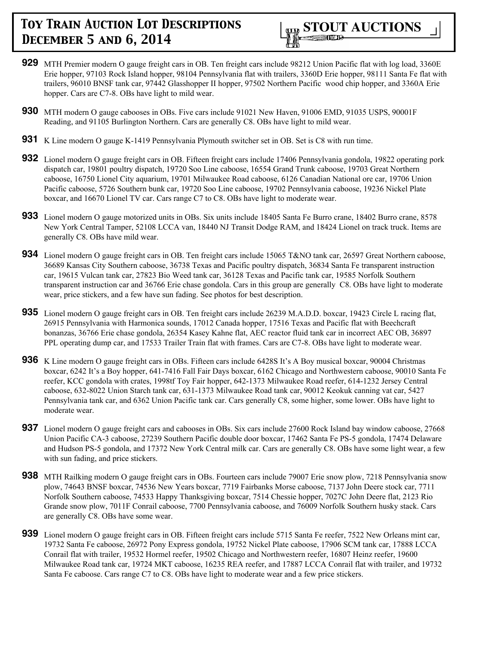

- **929** MTH Premier modern O gauge freight cars in OB. Ten freight cars include 98212 Union Pacific flat with log load, 3360E Erie hopper, 97103 Rock Island hopper, 98104 Pennsylvania flat with trailers, 3360D Erie hopper, 98111 Santa Fe flat with trailers, 96010 BNSF tank car, 97442 Glasshopper II hopper, 97502 Northern Pacific wood chip hopper, and 3360A Erie hopper. Cars are C7-8. OBs have light to mild wear.
- **930** MTH modern O gauge cabooses in OBs. Five cars include 91021 New Haven, 91006 EMD, 91035 USPS, 90001F Reading, and 91105 Burlington Northern. Cars are generally C8. OBs have light to mild wear.
- **931** K Line modern O gauge K-1419 Pennsylvania Plymouth switcher set in OB. Set is C8 with run time.
- **932** Lionel modern O gauge freight cars in OB. Fifteen freight cars include 17406 Pennsylvania gondola, 19822 operating pork dispatch car, 19801 poultry dispatch, 19720 Soo Line caboose, 16554 Grand Trunk caboose, 19703 Great Northern caboose, 16750 Lionel City aquarium, 19701 Milwaukee Road caboose, 6126 Canadian National ore car, 19706 Union Pacific caboose, 5726 Southern bunk car, 19720 Soo Line caboose, 19702 Pennsylvania caboose, 19236 Nickel Plate boxcar, and 16670 Lionel TV car. Cars range C7 to C8. OBs have light to moderate wear.
- **933** Lionel modern O gauge motorized units in OBs. Six units include 18405 Santa Fe Burro crane, 18402 Burro crane, 8578 New York Central Tamper, 52108 LCCA van, 18440 NJ Transit Dodge RAM, and 18424 Lionel on track truck. Items are generally C8. OBs have mild wear.
- **934** Lionel modern O gauge freight cars in OB. Ten freight cars include 15065 T&NO tank car, 26597 Great Northern caboose, 36689 Kansas City Southern caboose, 36738 Texas and Pacific poultry dispatch, 36834 Santa Fe transparent instruction car, 19615 Vulcan tank car, 27823 Bio Weed tank car, 36128 Texas and Pacific tank car, 19585 Norfolk Southern transparent instruction car and 36766 Erie chase gondola. Cars in this group are generally C8. OBs have light to moderate wear, price stickers, and a few have sun fading. See photos for best description.
- **935** Lionel modern O gauge freight cars in OB. Ten freight cars include 26239 M.A.D.D. boxcar, 19423 Circle L racing flat, 26915 Pennsylvania with Harmonica sounds, 17012 Canada hopper, 17516 Texas and Pacific flat with Beechcraft bonanzas, 36766 Erie chase gondola, 26354 Kasey Kahne flat, AEC reactor fluid tank car in incorrect AEC OB, 36897 PPL operating dump car, and 17533 Trailer Train flat with frames. Cars are C7-8. OBs have light to moderate wear.
- **936** K Line modern O gauge freight cars in OBs. Fifteen cars include 6428S It's A Boy musical boxcar, 90004 Christmas boxcar, 6242 It's a Boy hopper, 641-7416 Fall Fair Days boxcar, 6162 Chicago and Northwestern caboose, 90010 Santa Fe reefer, KCC gondola with crates, 1998tf Toy Fair hopper, 642-1373 Milwaukee Road reefer, 614-1232 Jersey Central caboose, 632-8022 Union Starch tank car, 631-1373 Milwaukee Road tank car, 90012 Keokuk canning vat car, 5427 Pennsylvania tank car, and 6362 Union Pacific tank car. Cars generally C8, some higher, some lower. OBs have light to moderate wear.
- **937** Lionel modern O gauge freight cars and cabooses in OBs. Six cars include 27600 Rock Island bay window caboose, 27668 Union Pacific CA-3 caboose, 27239 Southern Pacific double door boxcar, 17462 Santa Fe PS-5 gondola, 17474 Delaware and Hudson PS-5 gondola, and 17372 New York Central milk car. Cars are generally C8. OBs have some light wear, a few with sun fading, and price stickers.
- **938** MTH Railking modern O gauge freight cars in OBs. Fourteen cars include 79007 Erie snow plow, 7218 Pennsylvania snow plow, 74643 BNSF boxcar, 74536 New Years boxcar, 7719 Fairbanks Morse caboose, 7137 John Deere stock car, 7711 Norfolk Southern caboose, 74533 Happy Thanksgiving boxcar, 7514 Chessie hopper, 7027C John Deere flat, 2123 Rio Grande snow plow, 7011F Conrail caboose, 7700 Pennsylvania caboose, and 76009 Norfolk Southern husky stack. Cars are generally C8. OBs have some wear.
- **939** Lionel modern O gauge freight cars in OB. Fifteen freight cars include 5715 Santa Fe reefer, 7522 New Orleans mint car, 19732 Santa Fe caboose, 26972 Pony Express gondola, 19752 Nickel Plate caboose, 17906 SCM tank car, 17888 LCCA Conrail flat with trailer, 19532 Hormel reefer, 19502 Chicago and Northwestern reefer, 16807 Heinz reefer, 19600 Milwaukee Road tank car, 19724 MKT caboose, 16235 REA reefer, and 17887 LCCA Conrail flat with trailer, and 19732 Santa Fe caboose. Cars range C7 to C8. OBs have light to moderate wear and a few price stickers.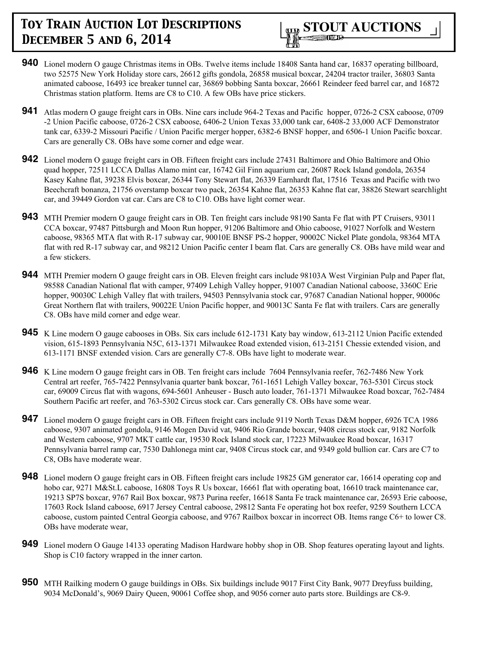

- **940** Lionel modern O gauge Christmas items in OBs. Twelve items include 18408 Santa hand car, 16837 operating billboard, two 52575 New York Holiday store cars, 26612 gifts gondola, 26858 musical boxcar, 24204 tractor trailer, 36803 Santa animated caboose, 16493 ice breaker tunnel car, 36869 bobbing Santa boxcar, 26661 Reindeer feed barrel car, and 16872 Christmas station platform. Items are C8 to C10. A few OBs have price stickers.
- **941** Atlas modern O gauge freight cars in OBs. Nine cars include 964-2 Texas and Pacific hopper, 0726-2 CSX caboose, 0709 -2 Union Pacific caboose, 0726-2 CSX caboose, 6406-2 Union Texas 33,000 tank car, 6408-2 33,000 ACF Demonstrator tank car, 6339-2 Missouri Pacific / Union Pacific merger hopper, 6382-6 BNSF hopper, and 6506-1 Union Pacific boxcar. Cars are generally C8. OBs have some corner and edge wear.
- **942** Lionel modern O gauge freight cars in OB. Fifteen freight cars include 27431 Baltimore and Ohio Baltimore and Ohio quad hopper, 72511 LCCA Dallas Alamo mint car, 16742 Gil Finn aquarium car, 26087 Rock Island gondola, 26354 Kasey Kahne flat, 39238 Elvis boxcar, 26344 Tony Stewart flat, 26339 Earnhardt flat, 17516 Texas and Pacific with two Beechcraft bonanza, 21756 overstamp boxcar two pack, 26354 Kahne flat, 26353 Kahne flat car, 38826 Stewart searchlight car, and 39449 Gordon vat car. Cars are C8 to C10. OBs have light corner wear.
- **943** MTH Premier modern O gauge freight cars in OB. Ten freight cars include 98190 Santa Fe flat with PT Cruisers, 93011 CCA boxcar, 97487 Pittsburgh and Moon Run hopper, 91206 Baltimore and Ohio caboose, 91027 Norfolk and Western caboose, 98365 MTA flat with R-17 subway car, 90010E BNSF PS-2 hopper, 90002C Nickel Plate gondola, 98364 MTA flat with red R-17 subway car, and 98212 Union Pacific center I beam flat. Cars are generally C8. OBs have mild wear and a few stickers.
- **944** MTH Premier modern O gauge freight cars in OB. Eleven freight cars include 98103A West Virginian Pulp and Paper flat, 98588 Canadian National flat with camper, 97409 Lehigh Valley hopper, 91007 Canadian National caboose, 3360C Erie hopper, 90030C Lehigh Valley flat with trailers, 94503 Pennsylvania stock car, 97687 Canadian National hopper, 90006c Great Northern flat with trailers, 90022E Union Pacific hopper, and 90013C Santa Fe flat with trailers. Cars are generally C8. OBs have mild corner and edge wear.
- **945** K Line modern O gauge cabooses in OBs. Six cars include 612-1731 Katy bay window, 613-2112 Union Pacific extended vision, 615-1893 Pennsylvania N5C, 613-1371 Milwaukee Road extended vision, 613-2151 Chessie extended vision, and 613-1171 BNSF extended vision. Cars are generally C7-8. OBs have light to moderate wear.
- **946** K Line modern O gauge freight cars in OB. Ten freight cars include 7604 Pennsylvania reefer, 762-7486 New York Central art reefer, 765-7422 Pennsylvania quarter bank boxcar, 761-1651 Lehigh Valley boxcar, 763-5301 Circus stock car, 69009 Circus flat with wagons, 694-5601 Anheuser - Busch auto loader, 761-1371 Milwaukee Road boxcar, 762-7484 Southern Pacific art reefer, and 763-5302 Circus stock car. Cars generally C8. OBs have some wear.
- **947** Lionel modern O gauge freight cars in OB. Fifteen freight cars include 9119 North Texas D&M hopper, 6926 TCA 1986 caboose, 9307 animated gondola, 9146 Mogen David vat, 9406 Rio Grande boxcar, 9408 circus stock car, 9182 Norfolk and Western caboose, 9707 MKT cattle car, 19530 Rock Island stock car, 17223 Milwaukee Road boxcar, 16317 Pennsylvania barrel ramp car, 7530 Dahlonega mint car, 9408 Circus stock car, and 9349 gold bullion car. Cars are C7 to C8, OBs have moderate wear.
- **948** Lionel modern O gauge freight cars in OB. Fifteen freight cars include 19825 GM generator car, 16614 operating cop and hobo car, 9271 M&St.L caboose, 16808 Toys R Us boxcar, 16661 flat with operating boat, 16610 track maintenance car, 19213 SP7S boxcar, 9767 Rail Box boxcar, 9873 Purina reefer, 16618 Santa Fe track maintenance car, 26593 Erie caboose, 17603 Rock Island caboose, 6917 Jersey Central caboose, 29812 Santa Fe operating hot box reefer, 9259 Southern LCCA caboose, custom painted Central Georgia caboose, and 9767 Railbox boxcar in incorrect OB. Items range C6+ to lower C8. OBs have moderate wear,
- **949** Lionel modern O Gauge 14133 operating Madison Hardware hobby shop in OB. Shop features operating layout and lights. Shop is C10 factory wrapped in the inner carton.
- **950** MTH Railking modern O gauge buildings in OBs. Six buildings include 9017 First City Bank, 9077 Dreyfuss building, 9034 McDonald's, 9069 Dairy Queen, 90061 Coffee shop, and 9056 corner auto parts store. Buildings are C8-9.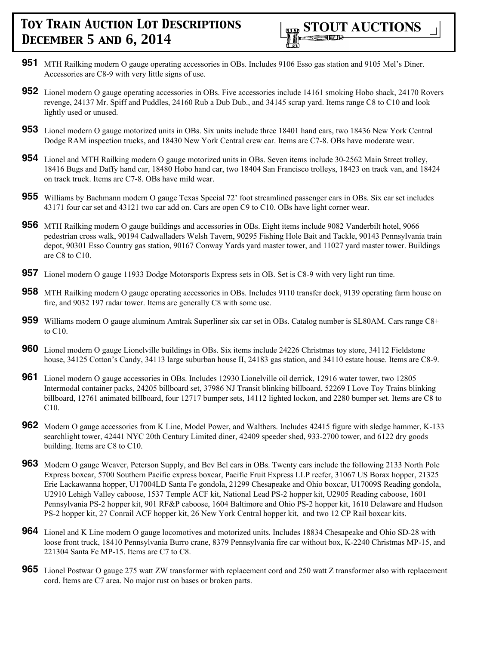

- **951** MTH Railking modern O gauge operating accessories in OBs. Includes 9106 Esso gas station and 9105 Mel's Diner. Accessories are C8-9 with very little signs of use.
- **952** Lionel modern O gauge operating accessories in OBs. Five accessories include 14161 smoking Hobo shack, 24170 Rovers revenge, 24137 Mr. Spiff and Puddles, 24160 Rub a Dub Dub., and 34145 scrap yard. Items range C8 to C10 and look lightly used or unused.
- **953** Lionel modern O gauge motorized units in OBs. Six units include three 18401 hand cars, two 18436 New York Central Dodge RAM inspection trucks, and 18430 New York Central crew car. Items are C7-8. OBs have moderate wear.
- **954** Lionel and MTH Railking modern O gauge motorized units in OBs. Seven items include 30-2562 Main Street trolley, 18416 Bugs and Daffy hand car, 18480 Hobo hand car, two 18404 San Francisco trolleys, 18423 on track van, and 18424 on track truck. Items are C7-8. OBs have mild wear.
- **955** Williams by Bachmann modern O gauge Texas Special 72' foot streamlined passenger cars in OBs. Six car set includes 43171 four car set and 43121 two car add on. Cars are open C9 to C10. OBs have light corner wear.
- **956** MTH Railking modern O gauge buildings and accessories in OBs. Eight items include 9082 Vanderbilt hotel, 9066 pedestrian cross walk, 90194 Cadwalladers Welsh Tavern, 90295 Fishing Hole Bait and Tackle, 90143 Pennsylvania train depot, 90301 Esso Country gas station, 90167 Conway Yards yard master tower, and 11027 yard master tower. Buildings are C8 to C10.
- **957** Lionel modern O gauge 11933 Dodge Motorsports Express sets in OB. Set is C8-9 with very light run time.
- **958** MTH Railking modern O gauge operating accessories in OBs. Includes 9110 transfer dock, 9139 operating farm house on fire, and 9032 197 radar tower. Items are generally C8 with some use.
- **959** Williams modern O gauge aluminum Amtrak Superliner six car set in OBs. Catalog number is SL80AM. Cars range C8+ to C10.
- **960** Lionel modern O gauge Lionelville buildings in OBs. Six items include 24226 Christmas toy store, 34112 Fieldstone house, 34125 Cotton's Candy, 34113 large suburban house II, 24183 gas station, and 34110 estate house. Items are C8-9.
- **961** Lionel modern O gauge accessories in OBs. Includes 12930 Lionelville oil derrick, 12916 water tower, two 12805 Intermodal container packs, 24205 billboard set, 37986 NJ Transit blinking billboard, 52269 I Love Toy Trains blinking billboard, 12761 animated billboard, four 12717 bumper sets, 14112 lighted lockon, and 2280 bumper set. Items are C8 to C10.
- **962** Modern O gauge accessories from K Line, Model Power, and Walthers. Includes 42415 figure with sledge hammer, K-133 searchlight tower, 42441 NYC 20th Century Limited diner, 42409 speeder shed, 933-2700 tower, and 6122 dry goods building. Items are C8 to C10.
- **963** Modern O gauge Weaver, Peterson Supply, and Bev Bel cars in OBs. Twenty cars include the following 2133 North Pole Express boxcar, 5700 Southern Pacific express boxcar, Pacific Fruit Express LLP reefer, 31067 US Borax hopper, 21325 Erie Lackawanna hopper, U17004LD Santa Fe gondola, 21299 Chesapeake and Ohio boxcar, U17009S Reading gondola, U2910 Lehigh Valley caboose, 1537 Temple ACF kit, National Lead PS-2 hopper kit, U2905 Reading caboose, 1601 Pennsylvania PS-2 hopper kit, 901 RF&P caboose, 1604 Baltimore and Ohio PS-2 hopper kit, 1610 Delaware and Hudson PS-2 hopper kit, 27 Conrail ACF hopper kit, 26 New York Central hopper kit, and two 12 CP Rail boxcar kits.
- **964** Lionel and K Line modern O gauge locomotives and motorized units. Includes 18834 Chesapeake and Ohio SD-28 with loose front truck, 18410 Pennsylvania Burro crane, 8379 Pennsylvania fire car without box, K-2240 Christmas MP-15, and 221304 Santa Fe MP-15. Items are C7 to C8.
- **965** Lionel Postwar O gauge 275 watt ZW transformer with replacement cord and 250 watt Z transformer also with replacement cord. Items are C7 area. No major rust on bases or broken parts.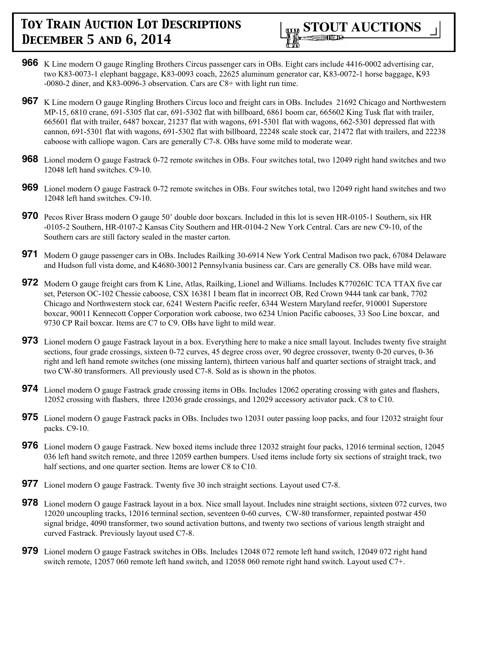

- **966** K Line modern O gauge Ringling Brothers Circus passenger cars in OBs. Eight cars include 4416-0002 advertising car, two K83-0073-1 elephant baggage, K83-0093 coach, 22625 aluminum generator car, K83-0072-1 horse baggage, K93 -0080-2 diner, and K83-0096-3 observation. Cars are C8+ with light run time.
- **967** K Line modern O gauge Ringling Brothers Circus loco and freight cars in OBs. Includes 21692 Chicago and Northwestern MP-15, 6810 crane, 691-5305 flat car, 691-5302 flat with billboard, 6861 boom car, 665602 King Tusk flat with trailer, 665601 flat with trailer, 6487 boxcar, 21237 flat with wagons, 691-5301 flat with wagons, 662-5301 depressed flat with cannon, 691-5301 flat with wagons, 691-5302 flat with billboard, 22248 scale stock car, 21472 flat with trailers, and 22238 caboose with calliope wagon. Cars are generally C7-8. OBs have some mild to moderate wear.
- **968** Lionel modern O gauge Fastrack 0-72 remote switches in OBs. Four switches total, two 12049 right hand switches and two 12048 left hand switches. C9-10.
- **969** Lionel modern O gauge Fastrack 0-72 remote switches in OBs. Four switches total, two 12049 right hand switches and two 12048 left hand switches. C9-10.
- **970** Pecos River Brass modern O gauge 50' double door boxcars. Included in this lot is seven HR-0105-1 Southern, six HR -0105-2 Southern, HR-0107-2 Kansas City Southern and HR-0104-2 New York Central. Cars are new C9-10, of the Southern cars are still factory sealed in the master carton.
- **971** Modern O gauge passenger cars in OBs. Includes Railking 30-6914 New York Central Madison two pack, 67084 Delaware and Hudson full vista dome, and K4680-30012 Pennsylvania business car. Cars are generally C8. OBs have mild wear.
- **972** Modern O gauge freight cars from K Line, Atlas, Railking, Lionel and Williams. Includes K77026IC TCA TTAX five car set, Peterson OC-102 Chessie caboose, CSX 16381 I beam flat in incorrect OB, Red Crown 9444 tank car bank, 7702 Chicago and Northwestern stock car, 6241 Western Pacific reefer, 6344 Western Maryland reefer, 910001 Superstore boxcar, 90011 Kennecott Copper Corporation work caboose, two 6234 Union Pacific cabooses, 33 Soo Line boxcar, and 9730 CP Rail boxcar. Items are C7 to C9. OBs have light to mild wear.
- **973** Lionel modern O gauge Fastrack layout in a box. Everything here to make a nice small layout. Includes twenty five straight sections, four grade crossings, sixteen 0-72 curves, 45 degree cross over, 90 degree crossover, twenty 0-20 curves, 0-36 right and left hand remote switches (one missing lantern), thirteen various half and quarter sections of straight track, and two CW-80 transformers. All previously used C7-8. Sold as is shown in the photos.
- **974** Lionel modern O gauge Fastrack grade crossing items in OBs. Includes 12062 operating crossing with gates and flashers, 12052 crossing with flashers, three 12036 grade crossings, and 12029 accessory activator pack. C8 to C10.
- **975** Lionel modern O gauge Fastrack packs in OBs. Includes two 12031 outer passing loop packs, and four 12032 straight four packs. C9-10.
- **976** Lionel modern O gauge Fastrack. New boxed items include three 12032 straight four packs, 12016 terminal section, 12045 036 left hand switch remote, and three 12059 earthen bumpers. Used items include forty six sections of straight track, two half sections, and one quarter section. Items are lower C8 to C10.
- **977** Lionel modern O gauge Fastrack. Twenty five 30 inch straight sections. Layout used C7-8.
- **978** Lionel modern O gauge Fastrack layout in a box. Nice small layout. Includes nine straight sections, sixteen 072 curves, two 12020 uncoupling tracks, 12016 terminal section, seventeen 0-60 curves, CW-80 transformer, repainted postwar 450 signal bridge, 4090 transformer, two sound activation buttons, and twenty two sections of various length straight and curved Fastrack. Previously layout used C7-8.
- **979** Lionel modern O gauge Fastrack switches in OBs. Includes 12048 072 remote left hand switch, 12049 072 right hand switch remote, 12057 060 remote left hand switch, and 12058 060 remote right hand switch. Layout used C7+.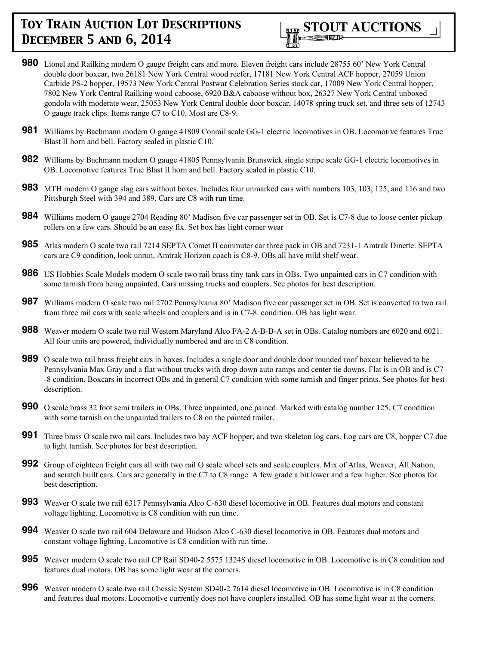

- **980** Lionel and Railking modern O gauge freight cars and more. Eleven freight cars include 28755 60' New York Central double door boxcar, two 26181 New York Central wood reefer, 17181 New York Central ACF hopper, 27059 Union Carbide PS-2 hopper, 19573 New York Central Postwar Celebration Series stock car, 17009 New York Central hopper, 7802 New York Central Railking wood caboose, 6920 B&A caboose without box, 26327 New York Central unboxed gondola with moderate wear, 25053 New York Central double door boxcar, 14078 spring truck set, and three sets of 12743 O gauge track clips. Items range C7 to C10. Most are C8-9.
- **981** Williams by Bachmann modern O gauge 41809 Conrail scale GG-1 electric locomotives in OB. Locomotive features True Blast II horn and bell. Factory sealed in plastic C10.
- **982** Williams by Bachmann modern O gauge 41805 Pennsylvania Brunswick single stripe scale GG-1 electric locomotives in OB. Locomotive features True Blast II horn and bell. Factory sealed in plastic C10.
- **983** MTH modern O gauge slag cars without boxes. Includes four unmarked cars with numbers 103, 103, 125, and 116 and two Pittsburgh Steel with 394 and 389. Cars are C8 with run time.
- **984** Williams modern O gauge 2704 Reading 80' Madison five car passenger set in OB. Set is C7-8 due to loose center pickup rollers on a few cars. Should be an easy fix. Set box has light corner wear
- **985** Atlas modern O scale two rail 7214 SEPTA Comet II commuter car three pack in OB and 7231-1 Amtrak Dinette. SEPTA cars are C9 condition, look unrun, Amtrak Horizon coach is C8-9. OBs all have mild shelf wear.
- **986** US Hobbies Scale Models modern O scale two rail brass tiny tank cars in OBs. Two unpainted cars in C7 condition with some tarnish from being unpainted. Cars missing trucks and couplers. See photos for best description.
- **987** Williams modern O scale two rail 2702 Pennsylvania 80' Madison five car passenger set in OB. Set is converted to two rail from three rail cars with scale wheels and couplers and is in C7-8. condition. OB has light wear.
- **988** Weaver modern O scale two rail Western Maryland Alco FA-2 A-B-B-A set in OBs. Catalog numbers are 6020 and 6021. All four units are powered, individually numbered and are in C8 condition.
- **989** O scale two rail brass freight cars in boxes. Includes a single door and double door rounded roof boxcar believed to be Pennsylvania Max Gray and a flat without trucks with drop down auto ramps and center tie downs. Flat is in OB and is C7 -8 condition. Boxcars in incorrect OBs and in general C7 condition with some tarnish and finger prints. See photos for best description.
- **990** O scale brass 32 foot semi trailers in OBs. Three unpainted, one pained. Marked with catalog number 125. C7 condition with some tarnish on the unpainted trailers to C8 on the painted trailer.
- **991** Three brass O scale two rail cars. Includes two bay ACF hopper, and two skeleton log cars. Log cars are C8, hopper C7 due to light tarnish. See photos for best description.
- **992** Group of eighteen freight cars all with two rail O scale wheel sets and scale couplers. Mix of Atlas, Weaver, All Nation, and scratch built cars. Cars are generally in the C7 to C8 range. A few grade a bit lower and a few higher. See photos for best description.
- **993** Weaver O scale two rail 6317 Pennsylvania Alco C-630 diesel locomotive in OB. Features dual motors and constant voltage lighting. Locomotive is C8 condition with run time.
- **994** Weaver O scale two rail 604 Delaware and Hudson Alco C-630 diesel locomotive in OB. Features dual motors and constant voltage lighting. Locomotive is C8 condition with run time.
- **995** Weaver modern O scale two rail CP Rail SD40-2 5575 1324S diesel locomotive in OB. Locomotive is in C8 condition and features dual motors. OB has some light wear at the corners.
- **996** Weaver modern O scale two rail Chessie System SD40-2 7614 diesel locomotive in OB. Locomotive is in C8 condition and features dual motors. Locomotive currently does not have couplers installed. OB has some light wear at the corners.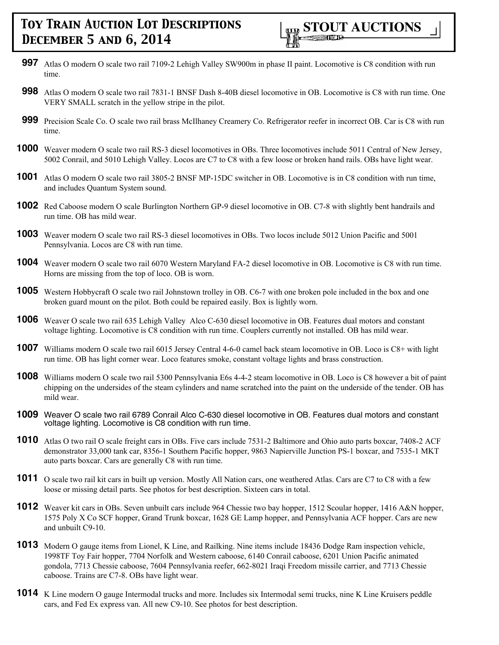- **997** Atlas O modern O scale two rail 7109-2 Lehigh Valley SW900m in phase II paint. Locomotive is C8 condition with run time.
- **998** Atlas O modern O scale two rail 7831-1 BNSF Dash 8-40B diesel locomotive in OB. Locomotive is C8 with run time. One VERY SMALL scratch in the yellow stripe in the pilot.
- **999** Precision Scale Co. O scale two rail brass McIlhaney Creamery Co. Refrigerator reefer in incorrect OB. Car is C8 with run time.
- **1000** Weaver modern O scale two rail RS-3 diesel locomotives in OBs. Three locomotives include 5011 Central of New Jersey, 5002 Conrail, and 5010 Lehigh Valley. Locos are C7 to C8 with a few loose or broken hand rails. OBs have light wear.
- **1001** Atlas O modern O scale two rail 3805-2 BNSF MP-15DC switcher in OB. Locomotive is in C8 condition with run time, and includes Quantum System sound.
- **1002** Red Caboose modern O scale Burlington Northern GP-9 diesel locomotive in OB. C7-8 with slightly bent handrails and run time. OB has mild wear.
- **1003** Weaver modern O scale two rail RS-3 diesel locomotives in OBs. Two locos include 5012 Union Pacific and 5001 Pennsylvania. Locos are C8 with run time.
- **1004** Weaver modern O scale two rail 6070 Western Maryland FA-2 diesel locomotive in OB. Locomotive is C8 with run time. Horns are missing from the top of loco. OB is worn.
- **1005** Western Hobbycraft O scale two rail Johnstown trolley in OB. C6-7 with one broken pole included in the box and one broken guard mount on the pilot. Both could be repaired easily. Box is lightly worn.
- **1006** Weaver O scale two rail 635 Lehigh Valley Alco C-630 diesel locomotive in OB. Features dual motors and constant voltage lighting. Locomotive is C8 condition with run time. Couplers currently not installed. OB has mild wear.
- **1007** Williams modern O scale two rail 6015 Jersey Central 4-6-0 camel back steam locomotive in OB. Loco is C8+ with light run time. OB has light corner wear. Loco features smoke, constant voltage lights and brass construction.
- **1008** Williams modern O scale two rail 5300 Pennsylvania E6s 4-4-2 steam locomotive in OB. Loco is C8 however a bit of paint chipping on the undersides of the steam cylinders and name scratched into the paint on the underside of the tender. OB has mild wear.
- **1009** Weaver O scale two rail 6789 Conrail Alco C-630 diesel locomotive in OB. Features dual motors and constant voltage lighting. Locomotive is C8 condition with run time.
- **1010** Atlas O two rail O scale freight cars in OBs. Five cars include 7531-2 Baltimore and Ohio auto parts boxcar, 7408-2 ACF demonstrator 33,000 tank car, 8356-1 Southern Pacific hopper, 9863 Napierville Junction PS-1 boxcar, and 7535-1 MKT auto parts boxcar. Cars are generally C8 with run time.
- **1011** O scale two rail kit cars in built up version. Mostly All Nation cars, one weathered Atlas. Cars are C7 to C8 with a few loose or missing detail parts. See photos for best description. Sixteen cars in total.
- **1012** Weaver kit cars in OBs. Seven unbuilt cars include 964 Chessie two bay hopper, 1512 Scoular hopper, 1416 A&N hopper, 1575 Poly X Co SCF hopper, Grand Trunk boxcar, 1628 GE Lamp hopper, and Pennsylvania ACF hopper. Cars are new and unbuilt C9-10.
- **1013** Modern O gauge items from Lionel, K Line, and Railking. Nine items include 18436 Dodge Ram inspection vehicle, 1998TF Toy Fair hopper, 7704 Norfolk and Western caboose, 6140 Conrail caboose, 6201 Union Pacific animated gondola, 7713 Chessie caboose, 7604 Pennsylvania reefer, 662-8021 Iraqi Freedom missile carrier, and 7713 Chessie caboose. Trains are C7-8. OBs have light wear.
- **1014** K Line modern O gauge Intermodal trucks and more. Includes six Intermodal semi trucks, nine K Line Kruisers peddle cars, and Fed Ex express van. All new C9-10. See photos for best description.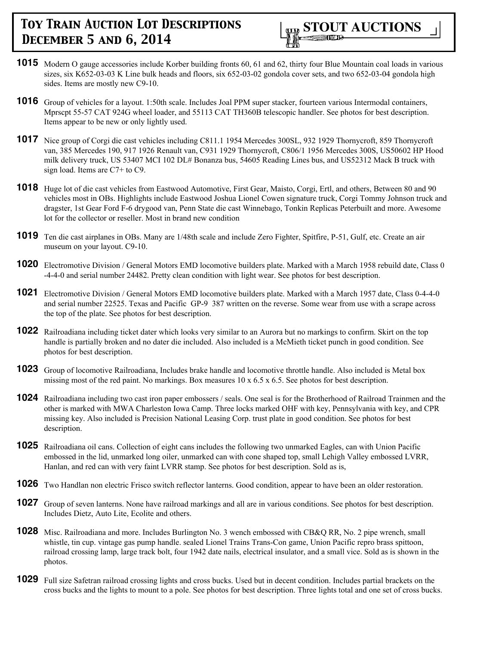

- **1015** Modern O gauge accessories include Korber building fronts 60, 61 and 62, thirty four Blue Mountain coal loads in various sizes, six K652-03-03 K Line bulk heads and floors, six 652-03-02 gondola cover sets, and two 652-03-04 gondola high sides. Items are mostly new C9-10.
- **1016** Group of vehicles for a layout. 1:50th scale. Includes Joal PPM super stacker, fourteen various Intermodal containers, Mprscpt 55-57 CAT 924G wheel loader, and 55113 CAT TH360B telescopic handler. See photos for best description. Items appear to be new or only lightly used.
- **1017** Nice group of Corgi die cast vehicles including C811.1 1954 Mercedes 300SL, 932 1929 Thornycroft, 859 Thornycroft van, 385 Mercedes 190, 917 1926 Renault van, C931 1929 Thornycroft, C806/1 1956 Mercedes 300S, US50602 HP Hood milk delivery truck, US 53407 MCI 102 DL# Bonanza bus, 54605 Reading Lines bus, and US52312 Mack B truck with sign load. Items are C7+ to C9.
- **1018** Huge lot of die cast vehicles from Eastwood Automotive, First Gear, Maisto, Corgi, Ertl, and others, Between 80 and 90 vehicles most in OBs. Highlights include Eastwood Joshua Lionel Cowen signature truck, Corgi Tommy Johnson truck and dragster, 1st Gear Ford F-6 drygood van, Penn State die cast Winnebago, Tonkin Replicas Peterbuilt and more. Awesome lot for the collector or reseller. Most in brand new condition
- **1019** Ten die cast airplanes in OBs. Many are 1/48th scale and include Zero Fighter, Spitfire, P-51, Gulf, etc. Create an air museum on your layout. C9-10.
- **1020** Electromotive Division / General Motors EMD locomotive builders plate. Marked with a March 1958 rebuild date, Class 0 -4-4-0 and serial number 24482. Pretty clean condition with light wear. See photos for best description.
- **1021** Electromotive Division / General Motors EMD locomotive builders plate. Marked with a March 1957 date, Class 0-4-4-0 and serial number 22525. Texas and Pacific GP-9 387 written on the reverse. Some wear from use with a scrape across the top of the plate. See photos for best description.
- **1022** Railroadiana including ticket dater which looks very similar to an Aurora but no markings to confirm. Skirt on the top handle is partially broken and no dater die included. Also included is a McMieth ticket punch in good condition. See photos for best description.
- **1023** Group of locomotive Railroadiana, Includes brake handle and locomotive throttle handle. Also included is Metal box missing most of the red paint. No markings. Box measures 10 x 6.5 x 6.5. See photos for best description.
- **1024** Railroadiana including two cast iron paper embossers / seals. One seal is for the Brotherhood of Railroad Trainmen and the other is marked with MWA Charleston Iowa Camp. Three locks marked OHF with key, Pennsylvania with key, and CPR missing key. Also included is Precision National Leasing Corp. trust plate in good condition. See photos for best description.
- **1025** Railroadiana oil cans. Collection of eight cans includes the following two unmarked Eagles, can with Union Pacific embossed in the lid, unmarked long oiler, unmarked can with cone shaped top, small Lehigh Valley embossed LVRR, Hanlan, and red can with very faint LVRR stamp. See photos for best description. Sold as is,
- **1026** Two Handlan non electric Frisco switch reflector lanterns. Good condition, appear to have been an older restoration.
- **1027** Group of seven lanterns. None have railroad markings and all are in various conditions. See photos for best description. Includes Dietz, Auto Lite, Ecolite and others.
- **1028** Misc. Railroadiana and more. Includes Burlington No. 3 wench embossed with CB&Q RR, No. 2 pipe wrench, small whistle, tin cup. vintage gas pump handle. sealed Lionel Trains Trans-Con game, Union Pacific repro brass spittoon, railroad crossing lamp, large track bolt, four 1942 date nails, electrical insulator, and a small vice. Sold as is shown in the photos.
- **1029** Full size Safetran railroad crossing lights and cross bucks. Used but in decent condition. Includes partial brackets on the cross bucks and the lights to mount to a pole. See photos for best description. Three lights total and one set of cross bucks.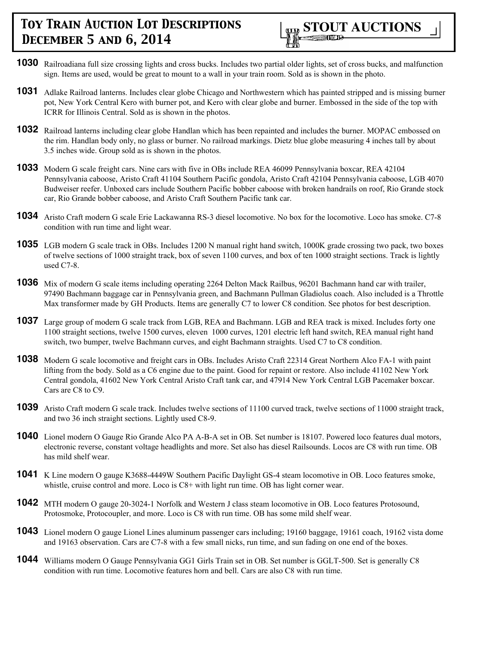

- **1030** Railroadiana full size crossing lights and cross bucks. Includes two partial older lights, set of cross bucks, and malfunction sign. Items are used, would be great to mount to a wall in your train room. Sold as is shown in the photo.
- **1031** Adlake Railroad lanterns. Includes clear globe Chicago and Northwestern which has painted stripped and is missing burner pot, New York Central Kero with burner pot, and Kero with clear globe and burner. Embossed in the side of the top with ICRR for Illinois Central. Sold as is shown in the photos.
- **1032** Railroad lanterns including clear globe Handlan which has been repainted and includes the burner. MOPAC embossed on the rim. Handlan body only, no glass or burner. No railroad markings. Dietz blue globe measuring 4 inches tall by about 3.5 inches wide. Group sold as is shown in the photos.
- **1033** Modern G scale freight cars. Nine cars with five in OBs include REA 46099 Pennsylvania boxcar, REA 42104 Pennsylvania caboose, Aristo Craft 41104 Southern Pacific gondola, Aristo Craft 42104 Pennsylvania caboose, LGB 4070 Budweiser reefer. Unboxed cars include Southern Pacific bobber caboose with broken handrails on roof, Rio Grande stock car, Rio Grande bobber caboose, and Aristo Craft Southern Pacific tank car.
- **1034** Aristo Craft modern G scale Erie Lackawanna RS-3 diesel locomotive. No box for the locomotive. Loco has smoke. C7-8 condition with run time and light wear.
- **1035** LGB modern G scale track in OBs. Includes 1200 N manual right hand switch, 1000K grade crossing two pack, two boxes of twelve sections of 1000 straight track, box of seven 1100 curves, and box of ten 1000 straight sections. Track is lightly used C7-8.
- **1036** Mix of modern G scale items including operating 2264 Delton Mack Railbus, 96201 Bachmann hand car with trailer, 97490 Bachmann baggage car in Pennsylvania green, and Bachmann Pullman Gladiolus coach. Also included is a Throttle Max transformer made by GH Products. Items are generally C7 to lower C8 condition. See photos for best description.
- **1037** Large group of modern G scale track from LGB, REA and Bachmann. LGB and REA track is mixed. Includes forty one 1100 straight sections, twelve 1500 curves, eleven 1000 curves, 1201 electric left hand switch, REA manual right hand switch, two bumper, twelve Bachmann curves, and eight Bachmann straights. Used C7 to C8 condition.
- **1038** Modern G scale locomotive and freight cars in OBs. Includes Aristo Craft 22314 Great Northern Alco FA-1 with paint lifting from the body. Sold as a C6 engine due to the paint. Good for repaint or restore. Also include 41102 New York Central gondola, 41602 New York Central Aristo Craft tank car, and 47914 New York Central LGB Pacemaker boxcar. Cars are C8 to C9.
- **1039** Aristo Craft modern G scale track. Includes twelve sections of 11100 curved track, twelve sections of 11000 straight track, and two 36 inch straight sections. Lightly used C8-9.
- **1040** Lionel modern O Gauge Rio Grande Alco PA A-B-A set in OB. Set number is 18107. Powered loco features dual motors, electronic reverse, constant voltage headlights and more. Set also has diesel Railsounds. Locos are C8 with run time. OB has mild shelf wear.
- **1041** K Line modern O gauge K3688-4449W Southern Pacific Daylight GS-4 steam locomotive in OB. Loco features smoke, whistle, cruise control and more. Loco is C8+ with light run time. OB has light corner wear.
- **1042** MTH modern O gauge 20-3024-1 Norfolk and Western J class steam locomotive in OB. Loco features Protosound, Protosmoke, Protocoupler, and more. Loco is C8 with run time. OB has some mild shelf wear.
- **1043** Lionel modern O gauge Lionel Lines aluminum passenger cars including; 19160 baggage, 19161 coach, 19162 vista dome and 19163 observation. Cars are C7-8 with a few small nicks, run time, and sun fading on one end of the boxes.
- **1044** Williams modern O Gauge Pennsylvania GG1 Girls Train set in OB. Set number is GGLT-500. Set is generally C8 condition with run time. Locomotive features horn and bell. Cars are also C8 with run time.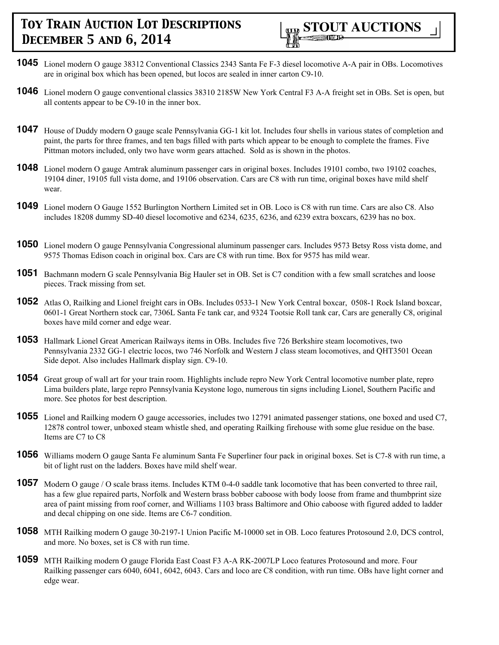

- **1045** Lionel modern O gauge 38312 Conventional Classics 2343 Santa Fe F-3 diesel locomotive A-A pair in OBs. Locomotives are in original box which has been opened, but locos are sealed in inner carton C9-10.
- **1046** Lionel modern O gauge conventional classics 38310 2185W New York Central F3 A-A freight set in OBs. Set is open, but all contents appear to be C9-10 in the inner box.
- **1047** House of Duddy modern O gauge scale Pennsylvania GG-1 kit lot. Includes four shells in various states of completion and paint, the parts for three frames, and ten bags filled with parts which appear to be enough to complete the frames. Five Pittman motors included, only two have worm gears attached. Sold as is shown in the photos.
- **1048** Lionel modern O gauge Amtrak aluminum passenger cars in original boxes. Includes 19101 combo, two 19102 coaches, 19104 diner, 19105 full vista dome, and 19106 observation. Cars are C8 with run time, original boxes have mild shelf wear.
- **1049** Lionel modern O Gauge 1552 Burlington Northern Limited set in OB. Loco is C8 with run time. Cars are also C8. Also includes 18208 dummy SD-40 diesel locomotive and 6234, 6235, 6236, and 6239 extra boxcars, 6239 has no box.
- **1050** Lionel modern O gauge Pennsylvania Congressional aluminum passenger cars. Includes 9573 Betsy Ross vista dome, and 9575 Thomas Edison coach in original box. Cars are C8 with run time. Box for 9575 has mild wear.
- **1051** Bachmann modern G scale Pennsylvania Big Hauler set in OB. Set is C7 condition with a few small scratches and loose pieces. Track missing from set.
- **1052** Atlas O, Railking and Lionel freight cars in OBs. Includes 0533-1 New York Central boxcar, 0508-1 Rock Island boxcar, 0601-1 Great Northern stock car, 7306L Santa Fe tank car, and 9324 Tootsie Roll tank car, Cars are generally C8, original boxes have mild corner and edge wear.
- **1053** Hallmark Lionel Great American Railways items in OBs. Includes five 726 Berkshire steam locomotives, two Pennsylvania 2332 GG-1 electric locos, two 746 Norfolk and Western J class steam locomotives, and QHT3501 Ocean Side depot. Also includes Hallmark display sign. C9-10.
- **1054** Great group of wall art for your train room. Highlights include repro New York Central locomotive number plate, repro Lima builders plate, large repro Pennsylvania Keystone logo, numerous tin signs including Lionel, Southern Pacific and more. See photos for best description.
- **1055** Lionel and Railking modern O gauge accessories, includes two 12791 animated passenger stations, one boxed and used C7, 12878 control tower, unboxed steam whistle shed, and operating Railking firehouse with some glue residue on the base. Items are C7 to C8
- **1056** Williams modern O gauge Santa Fe aluminum Santa Fe Superliner four pack in original boxes. Set is C7-8 with run time, a bit of light rust on the ladders. Boxes have mild shelf wear.
- **1057** Modern O gauge / O scale brass items. Includes KTM 0-4-0 saddle tank locomotive that has been converted to three rail, has a few glue repaired parts, Norfolk and Western brass bobber caboose with body loose from frame and thumbprint size area of paint missing from roof corner, and Williams 1103 brass Baltimore and Ohio caboose with figured added to ladder and decal chipping on one side. Items are C6-7 condition.
- **1058** MTH Railking modern O gauge 30-2197-1 Union Pacific M-10000 set in OB. Loco features Protosound 2.0, DCS control, and more. No boxes, set is C8 with run time.
- **1059** MTH Railking modern O gauge Florida East Coast F3 A-A RK-2007LP Loco features Protosound and more. Four Railking passenger cars 6040, 6041, 6042, 6043. Cars and loco are C8 condition, with run time. OBs have light corner and edge wear.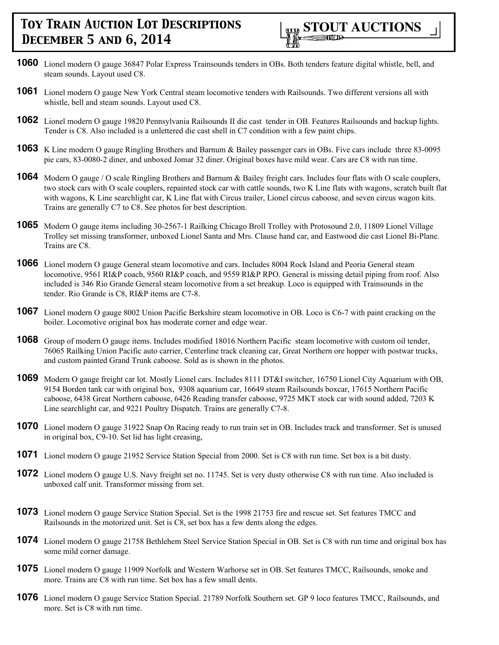

- **1060** Lionel modern O gauge 36847 Polar Express Trainsounds tenders in OBs. Both tenders feature digital whistle, bell, and steam sounds. Layout used C8.
- **1061** Lionel modern O gauge New York Central steam locomotive tenders with Railsounds. Two different versions all with whistle, bell and steam sounds. Layout used C8.
- **1062** Lionel modern O gauge 19820 Pennsylvania Railsounds II die cast tender in OB. Features Railsounds and backup lights. Tender is C8. Also included is a unlettered die cast shell in C7 condition with a few paint chips.
- **1063** K Line modern O gauge Ringling Brothers and Barnum & Bailey passenger cars in OBs. Five cars include three 83-0095 pie cars, 83-0080-2 diner, and unboxed Jomar 32 diner. Original boxes have mild wear. Cars are C8 with run time.
- **1064** Modern O gauge / O scale Ringling Brothers and Barnum & Bailey freight cars. Includes four flats with O scale couplers, two stock cars with O scale couplers, repainted stock car with cattle sounds, two K Line flats with wagons, scratch built flat with wagons, K Line searchlight car, K Line flat with Circus trailer, Lionel circus caboose, and seven circus wagon kits. Trains are generally C7 to C8. See photos for best description.
- **1065** Modern O gauge items including 30-2567-1 Railking Chicago Broll Trolley with Protosound 2.0, 11809 Lionel Village Trolley set missing transformer, unboxed Lionel Santa and Mrs. Clause hand car, and Eastwood die cast Lionel Bi-Plane. Trains are C8.
- **1066** Lionel modern O gauge General steam locomotive and cars. Includes 8004 Rock Island and Peoria General steam locomotive, 9561 RI&P coach, 9560 RI&P coach, and 9559 RI&P RPO. General is missing detail piping from roof. Also included is 346 Rio Grande General steam locomotive from a set breakup. Loco is equipped with Trainsounds in the tender. Rio Grande is C8, RI&P items are C7-8.
- **1067** Lionel modern O gauge 8002 Union Pacific Berkshire steam locomotive in OB. Loco is C6-7 with paint cracking on the boiler. Locomotive original box has moderate corner and edge wear.
- **1068** Group of modern O gauge items. Includes modified 18016 Northern Pacific steam locomotive with custom oil tender, 76065 Railking Union Pacific auto carrier, Centerline track cleaning car, Great Northern ore hopper with postwar trucks, and custom painted Grand Trunk caboose. Sold as is shown in the photos.
- **1069** Modern O gauge freight car lot. Mostly Lionel cars. Includes 8111 DT&I switcher, 16750 Lionel City Aquarium with OB, 9154 Borden tank car with original box, 9308 aquarium car, 16649 steam Railsounds boxcar, 17615 Northern Pacific caboose, 6438 Great Northern caboose, 6426 Reading transfer caboose, 9725 MKT stock car with sound added, 7203 K Line searchlight car, and 9221 Poultry Dispatch. Trains are generally C7-8.
- **1070** Lionel modern O gauge 31922 Snap On Racing ready to run train set in OB. Includes track and transformer. Set is unused in original box, C9-10. Set lid has light creasing,
- **1071** Lionel modern O gauge 21952 Service Station Special from 2000. Set is C8 with run time. Set box is a bit dusty.
- **1072** Lionel modern O gauge U.S. Navy freight set no. 11745. Set is very dusty otherwise C8 with run time. Also included is unboxed calf unit. Transformer missing from set.
- **1073** Lionel modern O gauge Service Station Special. Set is the 1998 21753 fire and rescue set. Set features TMCC and Railsounds in the motorized unit. Set is C8, set box has a few dents along the edges.
- **1074** Lionel modern O gauge 21758 Bethlehem Steel Service Station Special in OB. Set is C8 with run time and original box has some mild corner damage.
- **1075** Lionel modern O gauge 11909 Norfolk and Western Warhorse set in OB. Set features TMCC, Railsounds, smoke and more. Trains are C8 with run time. Set box has a few small dents.
- **1076** Lionel modern O gauge Service Station Special. 21789 Norfolk Southern set. GP 9 loco features TMCC, Railsounds, and more. Set is C8 with run time.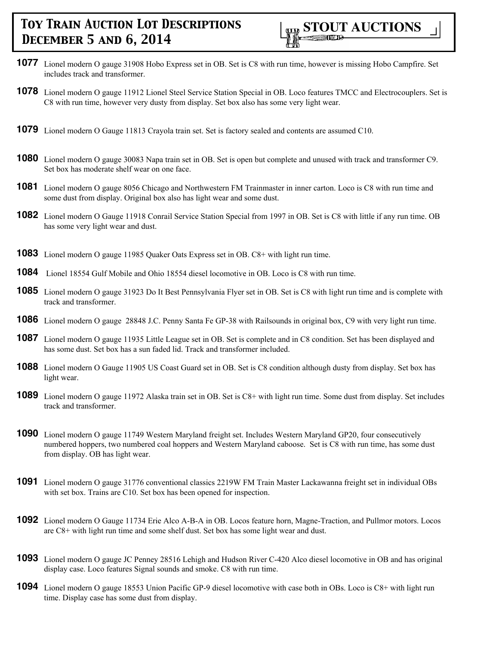

- **1077** Lionel modern O gauge 31908 Hobo Express set in OB. Set is C8 with run time, however is missing Hobo Campfire. Set includes track and transformer.
- **1078** Lionel modern O gauge 11912 Lionel Steel Service Station Special in OB. Loco features TMCC and Electrocouplers. Set is C8 with run time, however very dusty from display. Set box also has some very light wear.
- **1079** Lionel modern O Gauge 11813 Crayola train set. Set is factory sealed and contents are assumed C10.
- **1080** Lionel modern O gauge 30083 Napa train set in OB. Set is open but complete and unused with track and transformer C9. Set box has moderate shelf wear on one face.
- **1081** Lionel modern O gauge 8056 Chicago and Northwestern FM Trainmaster in inner carton. Loco is C8 with run time and some dust from display. Original box also has light wear and some dust.
- **1082** Lionel modern O Gauge 11918 Conrail Service Station Special from 1997 in OB. Set is C8 with little if any run time. OB has some very light wear and dust.
- **1083** Lionel modern O gauge 11985 Quaker Oats Express set in OB. C8+ with light run time.
- **1084** Lionel 18554 Gulf Mobile and Ohio 18554 diesel locomotive in OB. Loco is C8 with run time.
- **1085** Lionel modern O gauge 31923 Do It Best Pennsylvania Flyer set in OB. Set is C8 with light run time and is complete with track and transformer.
- **1086** Lionel modern O gauge 28848 J.C. Penny Santa Fe GP-38 with Railsounds in original box, C9 with very light run time.
- **1087** Lionel modern O gauge 11935 Little League set in OB. Set is complete and in C8 condition. Set has been displayed and has some dust. Set box has a sun faded lid. Track and transformer included.
- **1088** Lionel modern O Gauge 11905 US Coast Guard set in OB. Set is C8 condition although dusty from display. Set box has light wear.
- **1089** Lionel modern O gauge 11972 Alaska train set in OB. Set is C8+ with light run time. Some dust from display. Set includes track and transformer.
- **1090** Lionel modern O gauge 11749 Western Maryland freight set. Includes Western Maryland GP20, four consecutively numbered hoppers, two numbered coal hoppers and Western Maryland caboose. Set is C8 with run time, has some dust from display. OB has light wear.
- **1091** Lionel modern O gauge 31776 conventional classics 2219W FM Train Master Lackawanna freight set in individual OBs with set box. Trains are C10. Set box has been opened for inspection.
- **1092** Lionel modern O Gauge 11734 Erie Alco A-B-A in OB. Locos feature horn, Magne-Traction, and Pullmor motors. Locos are C8+ with light run time and some shelf dust. Set box has some light wear and dust.
- **1093** Lionel modern O gauge JC Penney 28516 Lehigh and Hudson River C-420 Alco diesel locomotive in OB and has original display case. Loco features Signal sounds and smoke. C8 with run time.
- **1094** Lionel modern O gauge 18553 Union Pacific GP-9 diesel locomotive with case both in OBs. Loco is C8+ with light run time. Display case has some dust from display.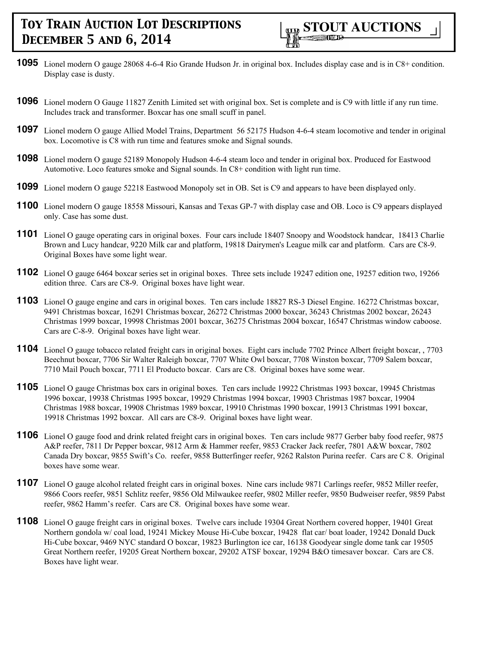

- **1095** Lionel modern O gauge 28068 4-6-4 Rio Grande Hudson Jr. in original box. Includes display case and is in C8+ condition. Display case is dusty.
- **1096** Lionel modern O Gauge 11827 Zenith Limited set with original box. Set is complete and is C9 with little if any run time. Includes track and transformer. Boxcar has one small scuff in panel.
- **1097** Lionel modern O gauge Allied Model Trains, Department 56 52175 Hudson 4-6-4 steam locomotive and tender in original box. Locomotive is C8 with run time and features smoke and Signal sounds.
- **1098** Lionel modern O gauge 52189 Monopoly Hudson 4-6-4 steam loco and tender in original box. Produced for Eastwood Automotive. Loco features smoke and Signal sounds. In C8+ condition with light run time.
- **1099** Lionel modern O gauge 52218 Eastwood Monopoly set in OB. Set is C9 and appears to have been displayed only.
- **1100** Lionel modern O gauge 18558 Missouri, Kansas and Texas GP-7 with display case and OB. Loco is C9 appears displayed only. Case has some dust.
- **1101** Lionel O gauge operating cars in original boxes. Four cars include 18407 Snoopy and Woodstock handcar, 18413 Charlie Brown and Lucy handcar, 9220 Milk car and platform, 19818 Dairymen's League milk car and platform. Cars are C8-9. Original Boxes have some light wear.
- **1102** Lionel O gauge 6464 boxcar series set in original boxes. Three sets include 19247 edition one, 19257 edition two, 19266 edition three. Cars are C8-9. Original boxes have light wear.
- **1103** Lionel O gauge engine and cars in original boxes. Ten cars include 18827 RS-3 Diesel Engine. 16272 Christmas boxcar, 9491 Christmas boxcar, 16291 Christmas boxcar, 26272 Christmas 2000 boxcar, 36243 Christmas 2002 boxcar, 26243 Christmas 1999 boxcar, 19998 Christmas 2001 boxcar, 36275 Christmas 2004 boxcar, 16547 Christmas window caboose. Cars are C-8-9. Original boxes have light wear.
- **1104** Lionel O gauge tobacco related freight cars in original boxes. Eight cars include 7702 Prince Albert freight boxcar, , 7703 Beechnut boxcar, 7706 Sir Walter Raleigh boxcar, 7707 White Owl boxcar, 7708 Winston boxcar, 7709 Salem boxcar, 7710 Mail Pouch boxcar, 7711 El Producto boxcar. Cars are C8. Original boxes have some wear.
- **1105** Lionel O gauge Christmas box cars in original boxes. Ten cars include 19922 Christmas 1993 boxcar, 19945 Christmas 1996 boxcar, 19938 Christmas 1995 boxcar, 19929 Christmas 1994 boxcar, 19903 Christmas 1987 boxcar, 19904 Christmas 1988 boxcar, 19908 Christmas 1989 boxcar, 19910 Christmas 1990 boxcar, 19913 Christmas 1991 boxcar, 19918 Christmas 1992 boxcar. All cars are C8-9. Original boxes have light wear.
- **1106** Lionel O gauge food and drink related freight cars in original boxes. Ten cars include 9877 Gerber baby food reefer, 9875 A&P reefer, 7811 Dr Pepper boxcar, 9812 Arm & Hammer reefer, 9853 Cracker Jack reefer, 7801 A&W boxcar, 7802 Canada Dry boxcar, 9855 Swift's Co. reefer, 9858 Butterfinger reefer, 9262 Ralston Purina reefer. Cars are C 8. Original boxes have some wear.
- **1107** Lionel O gauge alcohol related freight cars in original boxes. Nine cars include 9871 Carlings reefer, 9852 Miller reefer, 9866 Coors reefer, 9851 Schlitz reefer, 9856 Old Milwaukee reefer, 9802 Miller reefer, 9850 Budweiser reefer, 9859 Pabst reefer, 9862 Hamm's reefer. Cars are C8. Original boxes have some wear.
- **1108** Lionel O gauge freight cars in original boxes. Twelve cars include 19304 Great Northern covered hopper, 19401 Great Northern gondola w/ coal load, 19241 Mickey Mouse Hi-Cube boxcar, 19428 flat car/ boat loader, 19242 Donald Duck Hi-Cube boxcar, 9469 NYC standard O boxcar, 19823 Burlington ice car, 16138 Goodyear single dome tank car 19505 Great Northern reefer, 19205 Great Northern boxcar, 29202 ATSF boxcar, 19294 B&O timesaver boxcar. Cars are C8. Boxes have light wear.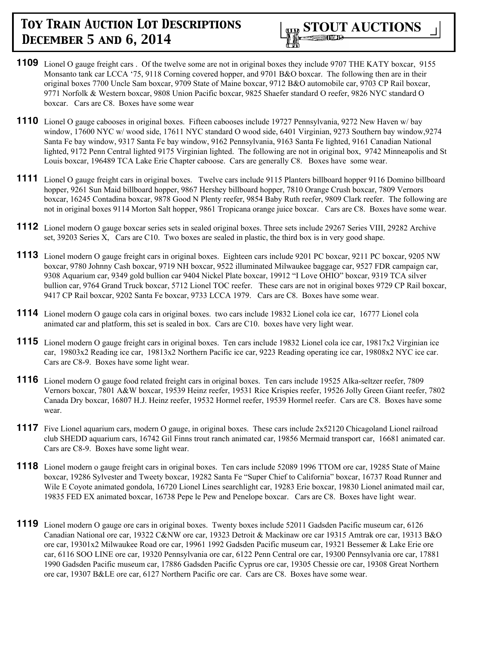

- **1109** Lionel O gauge freight cars . Of the twelve some are not in original boxes they include 9707 THE KATY boxcar, 9155 Monsanto tank car LCCA '75, 9118 Corning covered hopper, and 9701 B&O boxcar. The following then are in their original boxes 7700 Uncle Sam boxcar, 9709 State of Maine boxcar, 9712 B&O automobile car, 9703 CP Rail boxcar, 9771 Norfolk & Western boxcar, 9808 Union Pacific boxcar, 9825 Shaefer standard O reefer, 9826 NYC standard O boxcar. Cars are C8. Boxes have some wear
- **1110** Lionel O gauge cabooses in original boxes. Fifteen cabooses include 19727 Pennsylvania, 9272 New Haven w/ bay window, 17600 NYC w/ wood side, 17611 NYC standard O wood side, 6401 Virginian, 9273 Southern bay window,9274 Santa Fe bay window, 9317 Santa Fe bay window, 9162 Pennsylvania, 9163 Santa Fe lighted, 9161 Canadian National lighted, 9172 Penn Central lighted 9175 Virginian lighted. The following are not in original box, 9742 Minneapolis and St Louis boxcar, 196489 TCA Lake Erie Chapter caboose. Cars are generally C8. Boxes have some wear.
- **1111** Lionel O gauge freight cars in original boxes. Twelve cars include 9115 Planters billboard hopper 9116 Domino billboard hopper, 9261 Sun Maid billboard hopper, 9867 Hershey billboard hopper, 7810 Orange Crush boxcar, 7809 Vernors boxcar, 16245 Contadina boxcar, 9878 Good N Plenty reefer, 9854 Baby Ruth reefer, 9809 Clark reefer. The following are not in original boxes 9114 Morton Salt hopper, 9861 Tropicana orange juice boxcar. Cars are C8. Boxes have some wear.
- **1112** Lionel modern O gauge boxcar series sets in sealed original boxes. Three sets include 29267 Series VIII, 29282 Archive set, 39203 Series X, Cars are C10. Two boxes are sealed in plastic, the third box is in very good shape.
- **1113** Lionel modern O gauge freight cars in original boxes. Eighteen cars include 9201 PC boxcar, 9211 PC boxcar, 9205 NW boxcar, 9780 Johnny Cash boxcar, 9719 NH boxcar, 9522 illuminated Milwaukee baggage car, 9527 FDR campaign car, 9308 Aquarium car, 9349 gold bullion car 9404 Nickel Plate boxcar, 19912 "I Love OHIO" boxcar, 9319 TCA silver bullion car, 9764 Grand Truck boxcar, 5712 Lionel TOC reefer. These cars are not in original boxes 9729 CP Rail boxcar, 9417 CP Rail boxcar, 9202 Santa Fe boxcar, 9733 LCCA 1979. Cars are C8. Boxes have some wear.
- **1114** Lionel modern O gauge cola cars in original boxes. two cars include 19832 Lionel cola ice car, 16777 Lionel cola animated car and platform, this set is sealed in box. Cars are C10. boxes have very light wear.
- **1115** Lionel modern O gauge freight cars in original boxes. Ten cars include 19832 Lionel cola ice car, 19817x2 Virginian ice car, 19803x2 Reading ice car, 19813x2 Northern Pacific ice car, 9223 Reading operating ice car, 19808x2 NYC ice car. Cars are C8-9. Boxes have some light wear.
- **1116** Lionel modern O gauge food related freight cars in original boxes. Ten cars include 19525 Alka-seltzer reefer, 7809 Vernors boxcar, 7801 A&W boxcar, 19539 Heinz reefer, 19531 Rice Krispies reefer, 19526 Jolly Green Giant reefer, 7802 Canada Dry boxcar, 16807 H.J. Heinz reefer, 19532 Hormel reefer, 19539 Hormel reefer. Cars are C8. Boxes have some wear.
- 1117 Five Lionel aquarium cars, modern O gauge, in original boxes. These cars include 2x52120 Chicagoland Lionel railroad club SHEDD aquarium cars, 16742 Gil Finns trout ranch animated car, 19856 Mermaid transport car, 16681 animated car. Cars are C8-9. Boxes have some light wear.
- **1118** Lionel modern o gauge freight cars in original boxes. Ten cars include 52089 1996 TTOM ore car, 19285 State of Maine boxcar, 19286 Sylvester and Tweety boxcar, 19282 Santa Fe "Super Chief to California" boxcar, 16737 Road Runner and Wile E Coyote animated gondola, 16720 Lionel Lines searchlight car, 19283 Erie boxcar, 19830 Lionel animated mail car, 19835 FED EX animated boxcar, 16738 Pepe le Pew and Penelope boxcar. Cars are C8. Boxes have light wear.
- **1119** Lionel modern O gauge ore cars in original boxes. Twenty boxes include 52011 Gadsden Pacific museum car, 6126 Canadian National ore car, 19322 C&NW ore car, 19323 Detroit & Mackinaw ore car 19315 Amtrak ore car, 19313 B&O ore car, 19301x2 Milwaukee Road ore car, 19961 1992 Gadsden Pacific museum car, 19321 Bessemer & Lake Erie ore car, 6116 SOO LINE ore car, 19320 Pennsylvania ore car, 6122 Penn Central ore car, 19300 Pennsylvania ore car, 17881 1990 Gadsden Pacific museum car, 17886 Gadsden Pacific Cyprus ore car, 19305 Chessie ore car, 19308 Great Northern ore car, 19307 B&LE ore car, 6127 Northern Pacific ore car. Cars are C8. Boxes have some wear.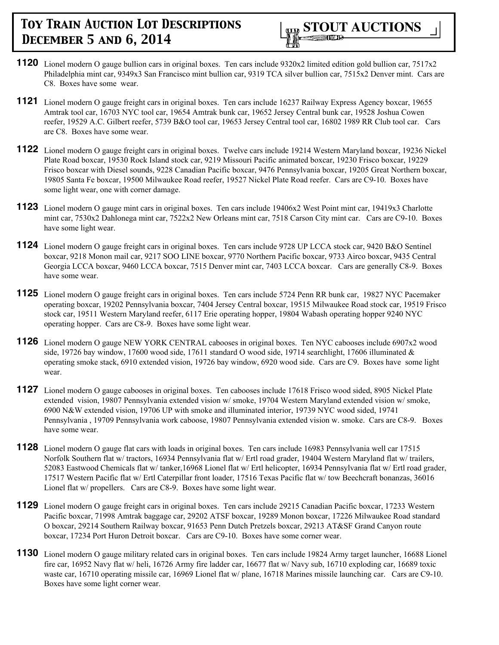

- **1120** Lionel modern O gauge bullion cars in original boxes. Ten cars include 9320x2 limited edition gold bullion car, 7517x2 Philadelphia mint car, 9349x3 San Francisco mint bullion car, 9319 TCA silver bullion car, 7515x2 Denver mint. Cars are C8. Boxes have some wear.
- **1121** Lionel modern O gauge freight cars in original boxes. Ten cars include 16237 Railway Express Agency boxcar, 19655 Amtrak tool car, 16703 NYC tool car, 19654 Amtrak bunk car, 19652 Jersey Central bunk car, 19528 Joshua Cowen reefer, 19529 A.C. Gilbert reefer, 5739 B&O tool car, 19653 Jersey Central tool car, 16802 1989 RR Club tool car. Cars are C8. Boxes have some wear.
- **1122** Lionel modern O gauge freight cars in original boxes. Twelve cars include 19214 Western Maryland boxcar, 19236 Nickel Plate Road boxcar, 19530 Rock Island stock car, 9219 Missouri Pacific animated boxcar, 19230 Frisco boxcar, 19229 Frisco boxcar with Diesel sounds, 9228 Canadian Pacific boxcar, 9476 Pennsylvania boxcar, 19205 Great Northern boxcar, 19805 Santa Fe boxcar, 19500 Milwaukee Road reefer, 19527 Nickel Plate Road reefer. Cars are C9-10. Boxes have some light wear, one with corner damage.
- **1123** Lionel modern O gauge mint cars in original boxes. Ten cars include 19406x2 West Point mint car, 19419x3 Charlotte mint car, 7530x2 Dahlonega mint car, 7522x2 New Orleans mint car, 7518 Carson City mint car. Cars are C9-10. Boxes have some light wear.
- **1124** Lionel modern O gauge freight cars in original boxes. Ten cars include 9728 UP LCCA stock car, 9420 B&O Sentinel boxcar, 9218 Monon mail car, 9217 SOO LINE boxcar, 9770 Northern Pacific boxcar, 9733 Airco boxcar, 9435 Central Georgia LCCA boxcar, 9460 LCCA boxcar, 7515 Denver mint car, 7403 LCCA boxcar. Cars are generally C8-9. Boxes have some wear.
- **1125** Lionel modern O gauge freight cars in original boxes. Ten cars include 5724 Penn RR bunk car, 19827 NYC Pacemaker operating boxcar, 19202 Pennsylvania boxcar, 7404 Jersey Central boxcar, 19515 Milwaukee Road stock car, 19519 Frisco stock car, 19511 Western Maryland reefer, 6117 Erie operating hopper, 19804 Wabash operating hopper 9240 NYC operating hopper. Cars are C8-9. Boxes have some light wear.
- **1126** Lionel modern O gauge NEW YORK CENTRAL cabooses in original boxes. Ten NYC cabooses include 6907x2 wood side, 19726 bay window, 17600 wood side, 17611 standard O wood side, 19714 searchlight, 17606 illuminated & operating smoke stack, 6910 extended vision, 19726 bay window, 6920 wood side. Cars are C9. Boxes have some light wear.
- **1127** Lionel modern O gauge cabooses in original boxes. Ten cabooses include 17618 Frisco wood sided, 8905 Nickel Plate extended vision, 19807 Pennsylvania extended vision w/ smoke, 19704 Western Maryland extended vision w/ smoke, 6900 N&W extended vision, 19706 UP with smoke and illuminated interior, 19739 NYC wood sided, 19741 Pennsylvania , 19709 Pennsylvania work caboose, 19807 Pennsylvania extended vision w. smoke. Cars are C8-9. Boxes have some wear.
- **1128** Lionel modern O gauge flat cars with loads in original boxes. Ten cars include 16983 Pennsylvania well car 17515 Norfolk Southern flat w/ tractors, 16934 Pennsylvania flat w/ Ertl road grader, 19404 Western Maryland flat w/ trailers, 52083 Eastwood Chemicals flat w/ tanker,16968 Lionel flat w/ Ertl helicopter, 16934 Pennsylvania flat w/ Ertl road grader, 17517 Western Pacific flat w/ Ertl Caterpillar front loader, 17516 Texas Pacific flat w/ tow Beechcraft bonanzas, 36016 Lionel flat w/ propellers. Cars are C8-9. Boxes have some light wear.
- **1129** Lionel modern O gauge freight cars in original boxes. Ten cars include 29215 Canadian Pacific boxcar, 17233 Western Pacific boxcar, 71998 Amtrak baggage car, 29202 ATSF boxcar, 19289 Monon boxcar, 17226 Milwaukee Road standard O boxcar, 29214 Southern Railway boxcar, 91653 Penn Dutch Pretzels boxcar, 29213 AT&SF Grand Canyon route boxcar, 17234 Port Huron Detroit boxcar. Cars are C9-10. Boxes have some corner wear.
- **1130** Lionel modern O gauge military related cars in original boxes. Ten cars include 19824 Army target launcher, 16688 Lionel fire car, 16952 Navy flat w/ heli, 16726 Army fire ladder car, 16677 flat w/ Navy sub, 16710 exploding car, 16689 toxic waste car, 16710 operating missile car, 16969 Lionel flat w/ plane, 16718 Marines missile launching car. Cars are C9-10. Boxes have some light corner wear.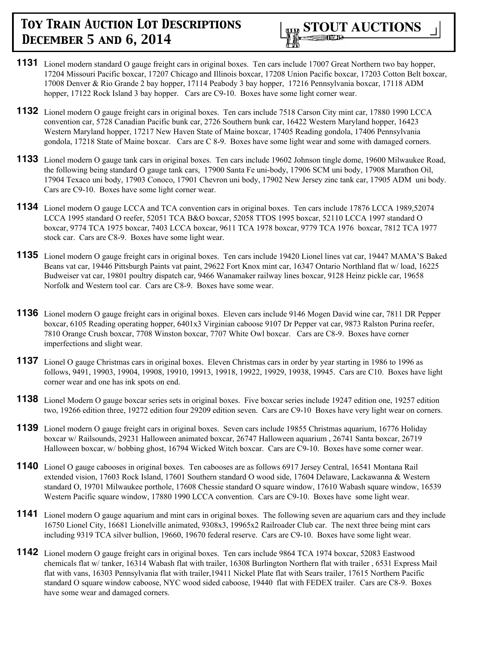

- **1131** Lionel modern standard O gauge freight cars in original boxes. Ten cars include 17007 Great Northern two bay hopper, 17204 Missouri Pacific boxcar, 17207 Chicago and Illinois boxcar, 17208 Union Pacific boxcar, 17203 Cotton Belt boxcar, 17008 Denver & Rio Grande 2 bay hopper, 17114 Peabody 3 bay hopper, 17216 Pennsylvania boxcar, 17118 ADM hopper, 17122 Rock Island 3 bay hopper. Cars are C9-10. Boxes have some light corner wear.
- **1132** Lionel modern O gauge freight cars in original boxes. Ten cars include 7518 Carson City mint car, 17880 1990 LCCA convention car, 5728 Canadian Pacific bunk car, 2726 Southern bunk car, 16422 Western Maryland hopper, 16423 Western Maryland hopper, 17217 New Haven State of Maine boxcar, 17405 Reading gondola, 17406 Pennsylvania gondola, 17218 State of Maine boxcar. Cars are C 8-9. Boxes have some light wear and some with damaged corners.
- **1133** Lionel modern O gauge tank cars in original boxes. Ten cars include 19602 Johnson tingle dome, 19600 Milwaukee Road, the following being standard O gauge tank cars, 17900 Santa Fe uni-body, 17906 SCM uni body, 17908 Marathon Oil, 17904 Texaco uni body, 17903 Conoco, 17901 Chevron uni body, 17902 New Jersey zinc tank car, 17905 ADM uni body. Cars are C9-10. Boxes have some light corner wear.
- **1134** Lionel modern O gauge LCCA and TCA convention cars in original boxes. Ten cars include 17876 LCCA 1989,52074 LCCA 1995 standard O reefer, 52051 TCA B&O boxcar, 52058 TTOS 1995 boxcar, 52110 LCCA 1997 standard O boxcar, 9774 TCA 1975 boxcar, 7403 LCCA boxcar, 9611 TCA 1978 boxcar, 9779 TCA 1976 boxcar, 7812 TCA 1977 stock car. Cars are C8-9. Boxes have some light wear.
- **1135** Lionel modern O gauge freight cars in original boxes. Ten cars include 19420 Lionel lines vat car, 19447 MAMA'S Baked Beans vat car, 19446 Pittsburgh Paints vat paint, 29622 Fort Knox mint car, 16347 Ontario Northland flat w/ load, 16225 Budweiser vat car, 19801 poultry dispatch car, 9466 Wanamaker railway lines boxcar, 9128 Heinz pickle car, 19658 Norfolk and Western tool car. Cars are C8-9. Boxes have some wear.
- **1136** Lionel modern O gauge freight cars in original boxes. Eleven cars include 9146 Mogen David wine car, 7811 DR Pepper boxcar, 6105 Reading operating hopper, 6401x3 Virginian caboose 9107 Dr Pepper vat car, 9873 Ralston Purina reefer, 7810 Orange Crush boxcar, 7708 Winston boxcar, 7707 White Owl boxcar. Cars are C8-9. Boxes have corner imperfections and slight wear.
- **1137** Lionel O gauge Christmas cars in original boxes. Eleven Christmas cars in order by year starting in 1986 to 1996 as follows, 9491, 19903, 19904, 19908, 19910, 19913, 19918, 19922, 19929, 19938, 19945. Cars are C10. Boxes have light corner wear and one has ink spots on end.
- **1138** Lionel Modern O gauge boxcar series sets in original boxes. Five boxcar series include 19247 edition one, 19257 edition two, 19266 edition three, 19272 edition four 29209 edition seven. Cars are C9-10 Boxes have very light wear on corners.
- **1139** Lionel modern O gauge freight cars in original boxes. Seven cars include 19855 Christmas aquarium, 16776 Holiday boxcar w/ Railsounds, 29231 Halloween animated boxcar, 26747 Halloween aquarium , 26741 Santa boxcar, 26719 Halloween boxcar, w/ bobbing ghost, 16794 Wicked Witch boxcar. Cars are C9-10. Boxes have some corner wear.
- **1140** Lionel O gauge cabooses in original boxes. Ten cabooses are as follows 6917 Jersey Central, 16541 Montana Rail extended vision, 17603 Rock Island, 17601 Southern standard O wood side, 17604 Delaware, Lackawanna & Western standard O, 19701 Milwaukee porthole, 17608 Chessie standard O square window, 17610 Wabash square window, 16539 Western Pacific square window, 17880 1990 LCCA convention. Cars are C9-10. Boxes have some light wear.
- **1141** Lionel modern O gauge aquarium and mint cars in original boxes. The following seven are aquarium cars and they include 16750 Lionel City, 16681 Lionelville animated, 9308x3, 19965x2 Railroader Club car. The next three being mint cars including 9319 TCA silver bullion, 19660, 19670 federal reserve. Cars are C9-10. Boxes have some light wear.
- **1142** Lionel modern O gauge freight cars in original boxes. Ten cars include 9864 TCA 1974 boxcar, 52083 Eastwood chemicals flat w/ tanker, 16314 Wabash flat with trailer, 16308 Burlington Northern flat with trailer , 6531 Express Mail flat with vans, 16303 Pennsylvania flat with trailer,19411 Nickel Plate flat with Sears trailer, 17615 Northern Pacific standard O square window caboose, NYC wood sided caboose, 19440 flat with FEDEX trailer. Cars are C8-9. Boxes have some wear and damaged corners.